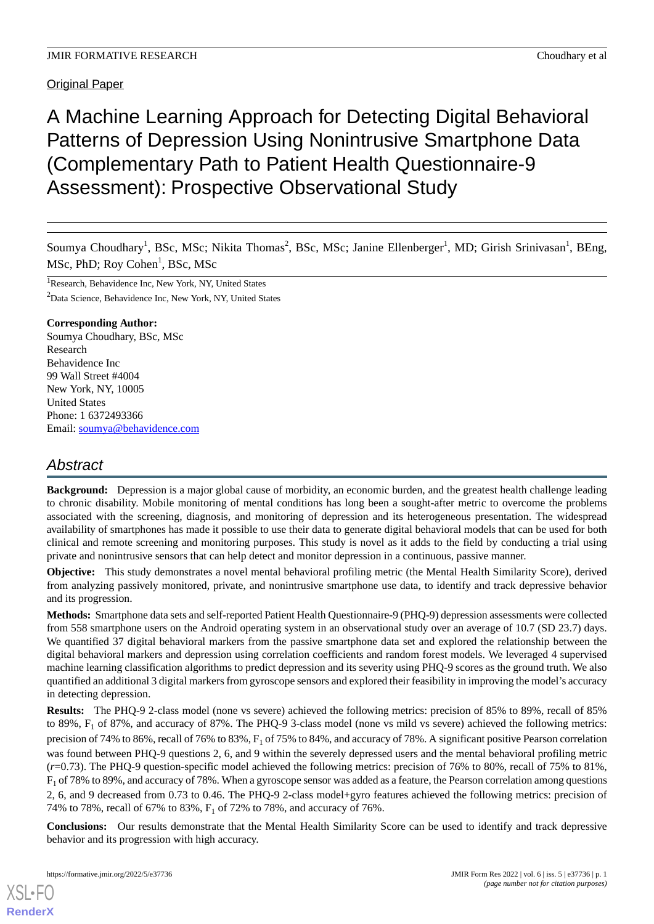Original Paper

# A Machine Learning Approach for Detecting Digital Behavioral Patterns of Depression Using Nonintrusive Smartphone Data (Complementary Path to Patient Health Questionnaire-9 Assessment): Prospective Observational Study

Soumya Choudhary<sup>1</sup>, BSc, MSc; Nikita Thomas<sup>2</sup>, BSc, MSc; Janine Ellenberger<sup>1</sup>, MD; Girish Srinivasan<sup>1</sup>, BEng, MSc, PhD; Roy Cohen<sup>1</sup>, BSc, MSc

<sup>1</sup>Research, Behavidence Inc, New York, NY, United States <sup>2</sup>Data Science, Behavidence Inc, New York, NY, United States

#### **Corresponding Author:**

Soumya Choudhary, BSc, MSc Research Behavidence Inc 99 Wall Street #4004 New York, NY, 10005 United States Phone: 1 6372493366 Email: [soumya@behavidence.com](mailto:soumya@behavidence.com)

# *Abstract*

**Background:** Depression is a major global cause of morbidity, an economic burden, and the greatest health challenge leading to chronic disability. Mobile monitoring of mental conditions has long been a sought-after metric to overcome the problems associated with the screening, diagnosis, and monitoring of depression and its heterogeneous presentation. The widespread availability of smartphones has made it possible to use their data to generate digital behavioral models that can be used for both clinical and remote screening and monitoring purposes. This study is novel as it adds to the field by conducting a trial using private and nonintrusive sensors that can help detect and monitor depression in a continuous, passive manner.

**Objective:** This study demonstrates a novel mental behavioral profiling metric (the Mental Health Similarity Score), derived from analyzing passively monitored, private, and nonintrusive smartphone use data, to identify and track depressive behavior and its progression.

**Methods:** Smartphone data sets and self-reported Patient Health Questionnaire-9 (PHQ-9) depression assessments were collected from 558 smartphone users on the Android operating system in an observational study over an average of 10.7 (SD 23.7) days. We quantified 37 digital behavioral markers from the passive smartphone data set and explored the relationship between the digital behavioral markers and depression using correlation coefficients and random forest models. We leveraged 4 supervised machine learning classification algorithms to predict depression and its severity using PHQ-9 scores as the ground truth. We also quantified an additional 3 digital markers from gyroscope sensors and explored their feasibility in improving the model's accuracy in detecting depression.

**Results:** The PHQ-9 2-class model (none vs severe) achieved the following metrics: precision of 85% to 89%, recall of 85% to 89%,  $F_1$  of 87%, and accuracy of 87%. The PHQ-9 3-class model (none vs mild vs severe) achieved the following metrics: precision of 74% to 86%, recall of 76% to 83%, F<sub>1</sub> of 75% to 84%, and accuracy of 78%. A significant positive Pearson correlation was found between PHQ-9 questions 2, 6, and 9 within the severely depressed users and the mental behavioral profiling metric (*r*=0.73). The PHQ-9 question-specific model achieved the following metrics: precision of 76% to 80%, recall of 75% to 81%,  $F_1$  of 78% to 89%, and accuracy of 78%. When a gyroscope sensor was added as a feature, the Pearson correlation among questions 2, 6, and 9 decreased from 0.73 to 0.46. The PHQ-9 2-class model+gyro features achieved the following metrics: precision of 74% to 78%, recall of 67% to 83%, F<sub>1</sub> of 72% to 78%, and accuracy of 76%.

**Conclusions:** Our results demonstrate that the Mental Health Similarity Score can be used to identify and track depressive behavior and its progression with high accuracy.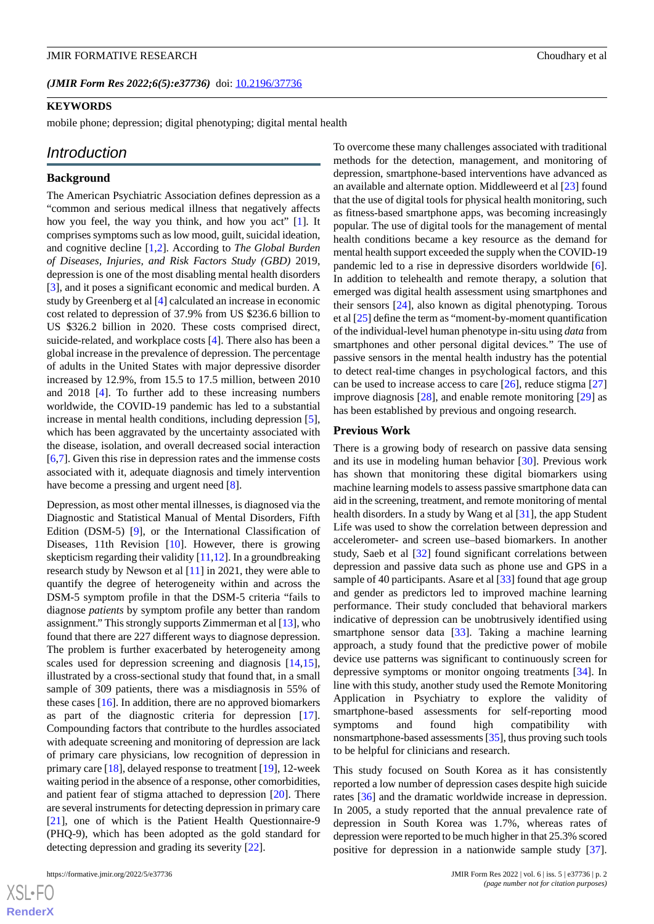*(JMIR Form Res 2022;6(5):e37736)* doi: [10.2196/37736](http://dx.doi.org/10.2196/37736)

#### **KEYWORDS**

mobile phone; depression; digital phenotyping; digital mental health

#### *Introduction*

#### **Background**

The American Psychiatric Association defines depression as a "common and serious medical illness that negatively affects how you feel, the way you think, and how you act" [\[1\]](#page-14-0)*.* It comprises symptoms such as low mood, guilt, suicidal ideation, and cognitive decline [[1](#page-14-0)[,2](#page-14-1)]. According to *The Global Burden of Diseases, Injuries, and Risk Factors Study (GBD)* 2019, depression is one of the most disabling mental health disorders [[3\]](#page-14-2), and it poses a significant economic and medical burden. A study by Greenberg et al [[4\]](#page-14-3) calculated an increase in economic cost related to depression of 37.9% from US \$236.6 billion to US \$326.2 billion in 2020. These costs comprised direct, suicide-related, and workplace costs [[4\]](#page-14-3). There also has been a global increase in the prevalence of depression. The percentage of adults in the United States with major depressive disorder increased by 12.9%, from 15.5 to 17.5 million, between 2010 and 2018 [\[4](#page-14-3)]. To further add to these increasing numbers worldwide, the COVID-19 pandemic has led to a substantial increase in mental health conditions, including depression [[5\]](#page-14-4), which has been aggravated by the uncertainty associated with the disease, isolation, and overall decreased social interaction [[6](#page-14-5)[,7](#page-14-6)]. Given this rise in depression rates and the immense costs associated with it, adequate diagnosis and timely intervention have become a pressing and urgent need [\[8](#page-14-7)].

Depression, as most other mental illnesses, is diagnosed via the Diagnostic and Statistical Manual of Mental Disorders, Fifth Edition (DSM-5) [[9\]](#page-14-8), or the International Classification of Diseases, 11th Revision [\[10](#page-14-9)]. However, there is growing skepticism regarding their validity [\[11](#page-14-10)[,12](#page-15-0)]. In a groundbreaking research study by Newson et al [\[11](#page-14-10)] in 2021, they were able to quantify the degree of heterogeneity within and across the DSM-5 symptom profile in that the DSM-5 criteria "fails to diagnose *patients* by symptom profile any better than random assignment." This strongly supports Zimmerman et al [\[13\]](#page-15-1), who found that there are 227 different ways to diagnose depression. The problem is further exacerbated by heterogeneity among scales used for depression screening and diagnosis [\[14](#page-15-2),[15\]](#page-15-3), illustrated by a cross-sectional study that found that, in a small sample of 309 patients, there was a misdiagnosis in 55% of these cases [\[16](#page-15-4)]. In addition, there are no approved biomarkers as part of the diagnostic criteria for depression [[17\]](#page-15-5). Compounding factors that contribute to the hurdles associated with adequate screening and monitoring of depression are lack of primary care physicians, low recognition of depression in primary care [\[18](#page-15-6)], delayed response to treatment [\[19](#page-15-7)], 12-week waiting period in the absence of a response, other comorbidities, and patient fear of stigma attached to depression [\[20](#page-15-8)]. There are several instruments for detecting depression in primary care [[21\]](#page-15-9), one of which is the Patient Health Questionnaire-9 (PHQ-9), which has been adopted as the gold standard for detecting depression and grading its severity [[22\]](#page-15-10).

To overcome these many challenges associated with traditional methods for the detection, management, and monitoring of depression, smartphone-based interventions have advanced as an available and alternate option. Middleweerd et al [[23\]](#page-15-11) found that the use of digital tools for physical health monitoring, such as fitness-based smartphone apps, was becoming increasingly popular. The use of digital tools for the management of mental health conditions became a key resource as the demand for mental health support exceeded the supply when the COVID-19 pandemic led to a rise in depressive disorders worldwide [[6\]](#page-14-5). In addition to telehealth and remote therapy, a solution that emerged was digital health assessment using smartphones and their sensors [\[24](#page-15-12)], also known as digital phenotyping. Torous et al [\[25\]](#page-15-13) define the term as "moment-by-moment quantification of the individual-level human phenotype in-situ using *data* from smartphones and other personal digital devices*.*" The use of passive sensors in the mental health industry has the potential to detect real-time changes in psychological factors, and this can be used to increase access to care  $[26]$  $[26]$ , reduce stigma  $[27]$  $[27]$ improve diagnosis [\[28](#page-15-16)], and enable remote monitoring [\[29](#page-15-17)] as has been established by previous and ongoing research.

#### **Previous Work**

There is a growing body of research on passive data sensing and its use in modeling human behavior [\[30](#page-15-18)]. Previous work has shown that monitoring these digital biomarkers using machine learning models to assess passive smartphone data can aid in the screening, treatment, and remote monitoring of mental health disorders. In a study by Wang et al [[31\]](#page-15-19), the app Student Life was used to show the correlation between depression and accelerometer- and screen use–based biomarkers. In another study, Saeb et al [[32\]](#page-15-20) found significant correlations between depression and passive data such as phone use and GPS in a sample of 40 participants. Asare et al [\[33](#page-15-21)] found that age group and gender as predictors led to improved machine learning performance. Their study concluded that behavioral markers indicative of depression can be unobtrusively identified using smartphone sensor data [\[33](#page-15-21)]. Taking a machine learning approach, a study found that the predictive power of mobile device use patterns was significant to continuously screen for depressive symptoms or monitor ongoing treatments [\[34](#page-16-0)]. In line with this study, another study used the Remote Monitoring Application in Psychiatry to explore the validity of smartphone-based assessments for self-reporting mood symptoms and found high compatibility with nonsmartphone-based assessments [\[35](#page-16-1)], thus proving such tools to be helpful for clinicians and research.

This study focused on South Korea as it has consistently reported a low number of depression cases despite high suicide rates [[36\]](#page-16-2) and the dramatic worldwide increase in depression. In 2005, a study reported that the annual prevalence rate of depression in South Korea was 1.7%, whereas rates of depression were reported to be much higher in that 25.3% scored positive for depression in a nationwide sample study [[37\]](#page-16-3).

 $XSI - F($ **[RenderX](http://www.renderx.com/)**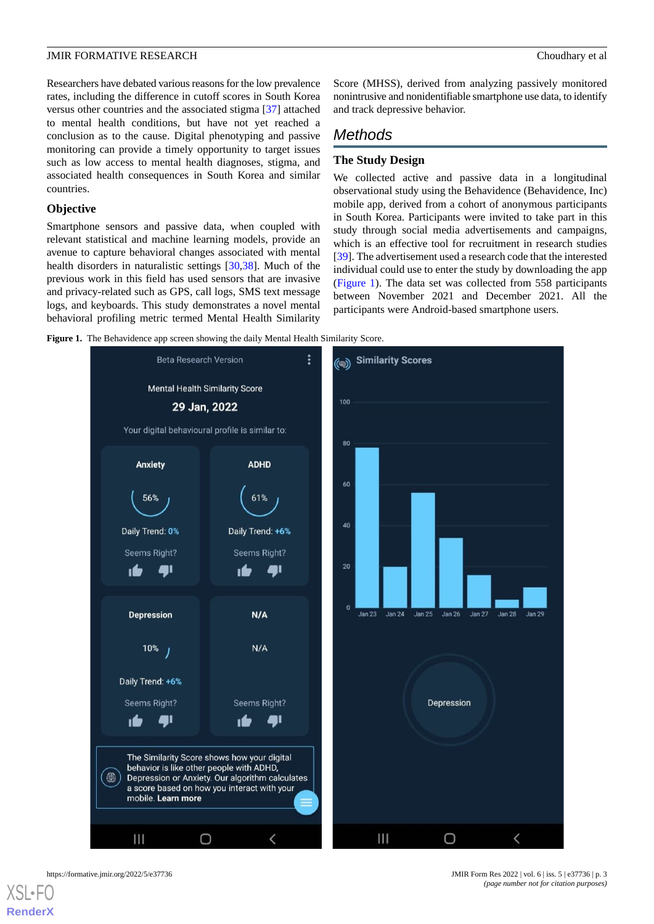Researchers have debated various reasons for the low prevalence rates, including the difference in cutoff scores in South Korea versus other countries and the associated stigma [\[37](#page-16-3)] attached to mental health conditions, but have not yet reached a conclusion as to the cause. Digital phenotyping and passive monitoring can provide a timely opportunity to target issues such as low access to mental health diagnoses, stigma, and associated health consequences in South Korea and similar countries.

#### **Objective**

Smartphone sensors and passive data, when coupled with relevant statistical and machine learning models, provide an avenue to capture behavioral changes associated with mental health disorders in naturalistic settings [\[30](#page-15-18),[38\]](#page-16-4). Much of the previous work in this field has used sensors that are invasive and privacy-related such as GPS, call logs, SMS text message logs, and keyboards. This study demonstrates a novel mental behavioral profiling metric termed Mental Health Similarity

Score (MHSS), derived from analyzing passively monitored nonintrusive and nonidentifiable smartphone use data, to identify and track depressive behavior.

# *Methods*

#### **The Study Design**

We collected active and passive data in a longitudinal observational study using the Behavidence (Behavidence, Inc) mobile app, derived from a cohort of anonymous participants in South Korea. Participants were invited to take part in this study through social media advertisements and campaigns, which is an effective tool for recruitment in research studies [[39\]](#page-16-5). The advertisement used a research code that the interested individual could use to enter the study by downloading the app ([Figure 1\)](#page-2-0). The data set was collected from 558 participants between November 2021 and December 2021. All the participants were Android-based smartphone users.

<span id="page-2-0"></span>Figure 1. The Behavidence app screen showing the daily Mental Health Similarity Score.





https://formative.jmir.org/2022/5/e37736 JMIR Form Res 2022 | vol. 6 | iss. 5 | e37736 | p. 3 *(page number not for citation purposes)*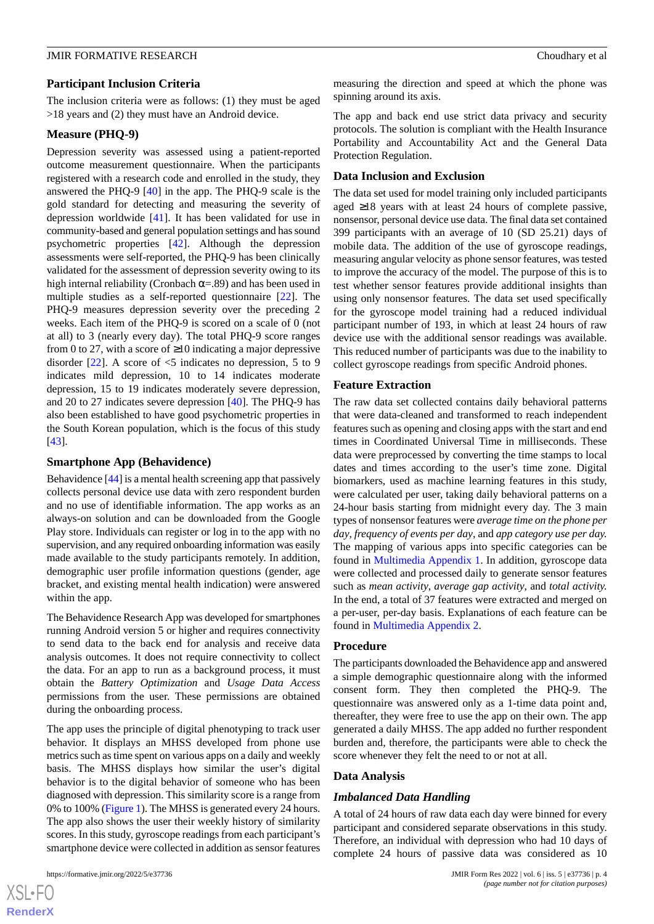#### **Participant Inclusion Criteria**

The inclusion criteria were as follows: (1) they must be aged >18 years and (2) they must have an Android device.

#### **Measure (PHQ-9)**

Depression severity was assessed using a patient-reported outcome measurement questionnaire. When the participants registered with a research code and enrolled in the study, they answered the PHQ-9 [[40\]](#page-16-6) in the app. The PHQ-9 scale is the gold standard for detecting and measuring the severity of depression worldwide [[41\]](#page-16-7). It has been validated for use in community-based and general population settings and has sound psychometric properties [\[42](#page-16-8)]. Although the depression assessments were self-reported, the PHQ-9 has been clinically validated for the assessment of depression severity owing to its high internal reliability (Cronbach  $\alpha = 0.89$ ) and has been used in multiple studies as a self-reported questionnaire [\[22](#page-15-10)]. The PHQ-9 measures depression severity over the preceding 2 weeks. Each item of the PHQ-9 is scored on a scale of 0 (not at all) to 3 (nearly every day). The total PHQ-9 score ranges from 0 to 27, with a score of  $\geq 10$  indicating a major depressive disorder  $[22]$  $[22]$ . A score of  $\leq$  5 indicates no depression, 5 to 9 indicates mild depression, 10 to 14 indicates moderate depression, 15 to 19 indicates moderately severe depression, and 20 to 27 indicates severe depression [\[40](#page-16-6)]. The PHQ-9 has also been established to have good psychometric properties in the South Korean population, which is the focus of this study [[43\]](#page-16-9).

#### **Smartphone App (Behavidence)**

Behavidence [\[44](#page-16-10)] is a mental health screening app that passively collects personal device use data with zero respondent burden and no use of identifiable information. The app works as an always-on solution and can be downloaded from the Google Play store. Individuals can register or log in to the app with no supervision, and any required onboarding information was easily made available to the study participants remotely. In addition, demographic user profile information questions (gender, age bracket, and existing mental health indication) were answered within the app.

The Behavidence Research App was developed for smartphones running Android version 5 or higher and requires connectivity to send data to the back end for analysis and receive data analysis outcomes. It does not require connectivity to collect the data. For an app to run as a background process, it must obtain the *Battery Optimization* and *Usage Data Access* permissions from the user. These permissions are obtained during the onboarding process.

The app uses the principle of digital phenotyping to track user behavior. It displays an MHSS developed from phone use metrics such as time spent on various apps on a daily and weekly basis. The MHSS displays how similar the user's digital behavior is to the digital behavior of someone who has been diagnosed with depression. This similarity score is a range from 0% to 100% ([Figure 1\)](#page-2-0). The MHSS is generated every 24 hours. The app also shows the user their weekly history of similarity scores. In this study, gyroscope readings from each participant's smartphone device were collected in addition as sensor features

measuring the direction and speed at which the phone was spinning around its axis.

The app and back end use strict data privacy and security protocols. The solution is compliant with the Health Insurance Portability and Accountability Act and the General Data Protection Regulation.

#### **Data Inclusion and Exclusion**

The data set used for model training only included participants aged ≥18 years with at least 24 hours of complete passive, nonsensor, personal device use data. The final data set contained 399 participants with an average of 10 (SD 25.21) days of mobile data. The addition of the use of gyroscope readings, measuring angular velocity as phone sensor features, was tested to improve the accuracy of the model. The purpose of this is to test whether sensor features provide additional insights than using only nonsensor features. The data set used specifically for the gyroscope model training had a reduced individual participant number of 193, in which at least 24 hours of raw device use with the additional sensor readings was available. This reduced number of participants was due to the inability to collect gyroscope readings from specific Android phones.

#### **Feature Extraction**

The raw data set collected contains daily behavioral patterns that were data-cleaned and transformed to reach independent features such as opening and closing apps with the start and end times in Coordinated Universal Time in milliseconds. These data were preprocessed by converting the time stamps to local dates and times according to the user's time zone. Digital biomarkers, used as machine learning features in this study, were calculated per user, taking daily behavioral patterns on a 24-hour basis starting from midnight every day. The 3 main types of nonsensor features were *average time on the phone per day*, *frequency of events per day*, and *app category use per day.* The mapping of various apps into specific categories can be found in [Multimedia Appendix 1](#page-14-11). In addition, gyroscope data were collected and processed daily to generate sensor features such as *mean activity*, *average gap activity*, and *total activity.* In the end, a total of 37 features were extracted and merged on a per-user, per-day basis. Explanations of each feature can be found in [Multimedia Appendix 2.](#page-14-12)

#### **Procedure**

The participants downloaded the Behavidence app and answered a simple demographic questionnaire along with the informed consent form. They then completed the PHQ-9. The questionnaire was answered only as a 1-time data point and, thereafter, they were free to use the app on their own. The app generated a daily MHSS. The app added no further respondent burden and, therefore, the participants were able to check the score whenever they felt the need to or not at all.

#### **Data Analysis**

#### *Imbalanced Data Handling*

A total of 24 hours of raw data each day were binned for every participant and considered separate observations in this study. Therefore, an individual with depression who had 10 days of complete 24 hours of passive data was considered as 10

 $XS$ -FO **[RenderX](http://www.renderx.com/)**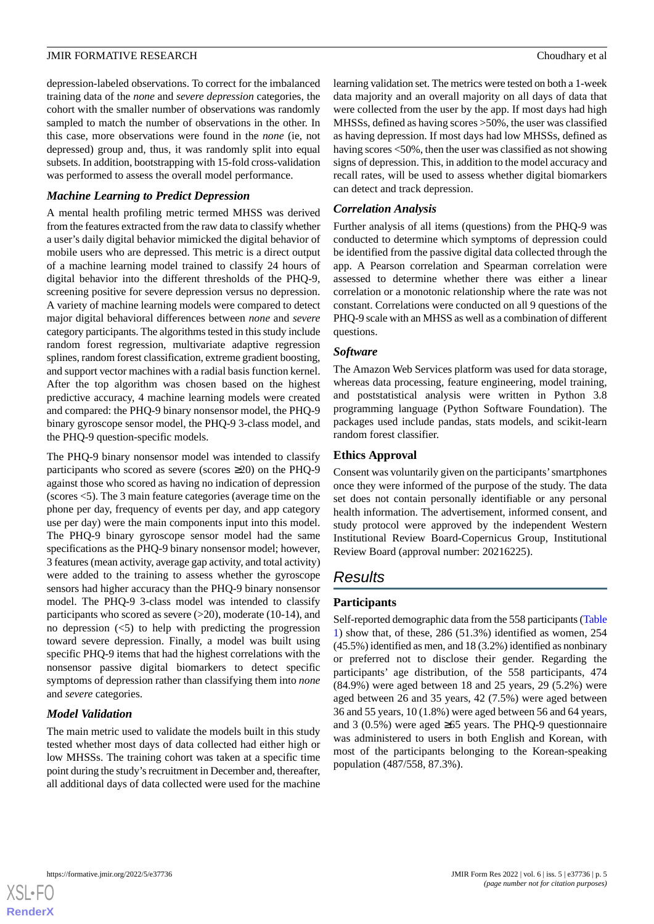depression-labeled observations. To correct for the imbalanced training data of the *none* and *severe depression* categories, the cohort with the smaller number of observations was randomly sampled to match the number of observations in the other. In this case, more observations were found in the *none* (ie, not depressed) group and, thus, it was randomly split into equal subsets. In addition, bootstrapping with 15-fold cross-validation was performed to assess the overall model performance.

#### *Machine Learning to Predict Depression*

A mental health profiling metric termed MHSS was derived from the features extracted from the raw data to classify whether a user's daily digital behavior mimicked the digital behavior of mobile users who are depressed. This metric is a direct output of a machine learning model trained to classify 24 hours of digital behavior into the different thresholds of the PHQ-9, screening positive for severe depression versus no depression. A variety of machine learning models were compared to detect major digital behavioral differences between *none* and *severe* category participants. The algorithms tested in this study include random forest regression, multivariate adaptive regression splines, random forest classification, extreme gradient boosting, and support vector machines with a radial basis function kernel. After the top algorithm was chosen based on the highest predictive accuracy, 4 machine learning models were created and compared: the PHQ-9 binary nonsensor model, the PHQ-9 binary gyroscope sensor model, the PHQ-9 3-class model, and the PHQ-9 question-specific models.

The PHQ-9 binary nonsensor model was intended to classify participants who scored as severe (scores  $\geq 20$ ) on the PHQ-9 against those who scored as having no indication of depression (scores <5). The 3 main feature categories (average time on the phone per day, frequency of events per day, and app category use per day) were the main components input into this model. The PHQ-9 binary gyroscope sensor model had the same specifications as the PHQ-9 binary nonsensor model; however, 3 features (mean activity, average gap activity, and total activity) were added to the training to assess whether the gyroscope sensors had higher accuracy than the PHQ-9 binary nonsensor model. The PHQ-9 3-class model was intended to classify participants who scored as severe  $(>20)$ , moderate  $(10-14)$ , and no depression  $\left( \langle 5 \rangle \right)$  to help with predicting the progression toward severe depression. Finally, a model was built using specific PHQ-9 items that had the highest correlations with the nonsensor passive digital biomarkers to detect specific symptoms of depression rather than classifying them into *none* and *severe* categories.

#### *Model Validation*

The main metric used to validate the models built in this study tested whether most days of data collected had either high or low MHSSs. The training cohort was taken at a specific time point during the study's recruitment in December and, thereafter, all additional days of data collected were used for the machine

learning validation set. The metrics were tested on both a 1-week data majority and an overall majority on all days of data that were collected from the user by the app. If most days had high MHSSs, defined as having scores >50%, the user was classified as having depression. If most days had low MHSSs, defined as having scores <50%, then the user was classified as not showing signs of depression. This, in addition to the model accuracy and recall rates, will be used to assess whether digital biomarkers can detect and track depression.

#### *Correlation Analysis*

Further analysis of all items (questions) from the PHQ-9 was conducted to determine which symptoms of depression could be identified from the passive digital data collected through the app. A Pearson correlation and Spearman correlation were assessed to determine whether there was either a linear correlation or a monotonic relationship where the rate was not constant. Correlations were conducted on all 9 questions of the PHQ-9 scale with an MHSS as well as a combination of different questions.

#### *Software*

The Amazon Web Services platform was used for data storage, whereas data processing, feature engineering, model training, and poststatistical analysis were written in Python 3.8 programming language (Python Software Foundation). The packages used include pandas, stats models, and scikit-learn random forest classifier.

#### **Ethics Approval**

Consent was voluntarily given on the participants'smartphones once they were informed of the purpose of the study. The data set does not contain personally identifiable or any personal health information. The advertisement, informed consent, and study protocol were approved by the independent Western Institutional Review Board-Copernicus Group, Institutional Review Board (approval number: 20216225).

# *Results*

#### **Participants**

Self-reported demographic data from the 558 participants [\(Table](#page-5-0) [1\)](#page-5-0) show that, of these,  $286$  (51.3%) identified as women,  $254$ (45.5%) identified as men, and 18 (3.2%) identified as nonbinary or preferred not to disclose their gender. Regarding the participants' age distribution, of the 558 participants, 474 (84.9%) were aged between 18 and 25 years, 29 (5.2%) were aged between 26 and 35 years, 42 (7.5%) were aged between 36 and 55 years, 10 (1.8%) were aged between 56 and 64 years, and 3 (0.5%) were aged  $\geq 65$  years. The PHQ-9 questionnaire was administered to users in both English and Korean, with most of the participants belonging to the Korean-speaking population (487/558, 87.3%).

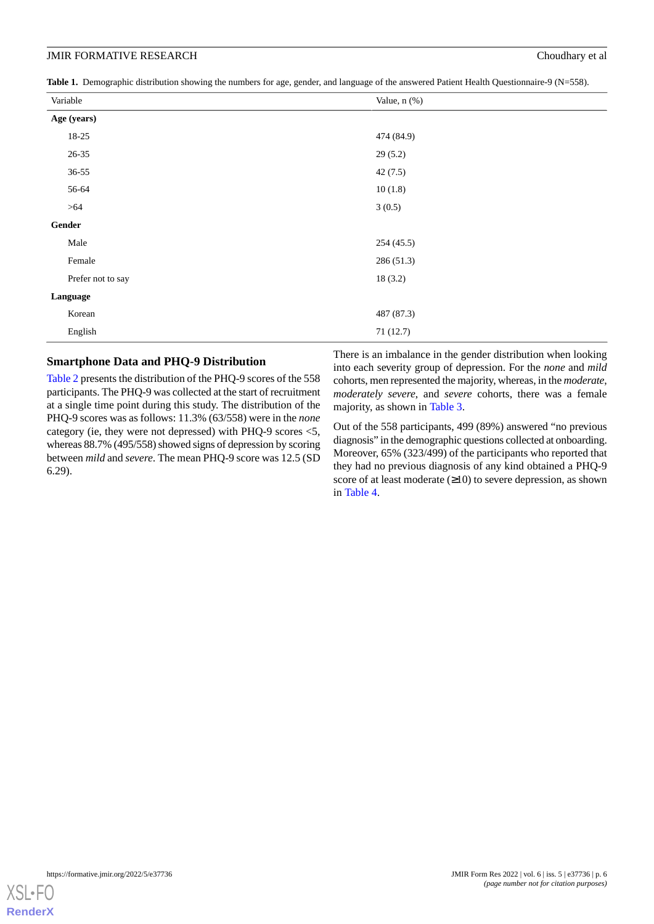<span id="page-5-0"></span>Table 1. Demographic distribution showing the numbers for age, gender, and language of the answered Patient Health Questionnaire-9 (N=558).

| Variable          | Value, n (%) |
|-------------------|--------------|
| Age (years)       |              |
| 18-25             | 474 (84.9)   |
| $26 - 35$         | 29(5.2)      |
| $36 - 55$         | 42(7.5)      |
| 56-64             | 10(1.8)      |
| >64               | 3(0.5)       |
| Gender            |              |
| Male              | 254(45.5)    |
| Female            | 286(51.3)    |
| Prefer not to say | 18(3.2)      |
| Language          |              |
| Korean            | 487 (87.3)   |
| English           | 71(12.7)     |

#### **Smartphone Data and PHQ-9 Distribution**

[Table 2](#page-6-0) presents the distribution of the PHQ-9 scores of the 558 participants. The PHQ-9 was collected at the start of recruitment at a single time point during this study. The distribution of the PHQ-9 scores was as follows: 11.3% (63/558) were in the *none* category (ie, they were not depressed) with PHQ-9 scores <5, whereas 88.7% (495/558) showed signs of depression by scoring between *mild* and *severe*. The mean PHQ-9 score was 12.5 (SD 6.29).

There is an imbalance in the gender distribution when looking into each severity group of depression. For the *none* and *mild* cohorts, men represented the majority, whereas, in the *moderate*, *moderately severe*, and *severe* cohorts, there was a female majority, as shown in [Table 3.](#page-7-0)

Out of the 558 participants, 499 (89%) answered "no previous diagnosis" in the demographic questions collected at onboarding. Moreover, 65% (323/499) of the participants who reported that they had no previous diagnosis of any kind obtained a PHQ-9 score of at least moderate  $(\geq 10)$  to severe depression, as shown in [Table 4](#page-7-1).

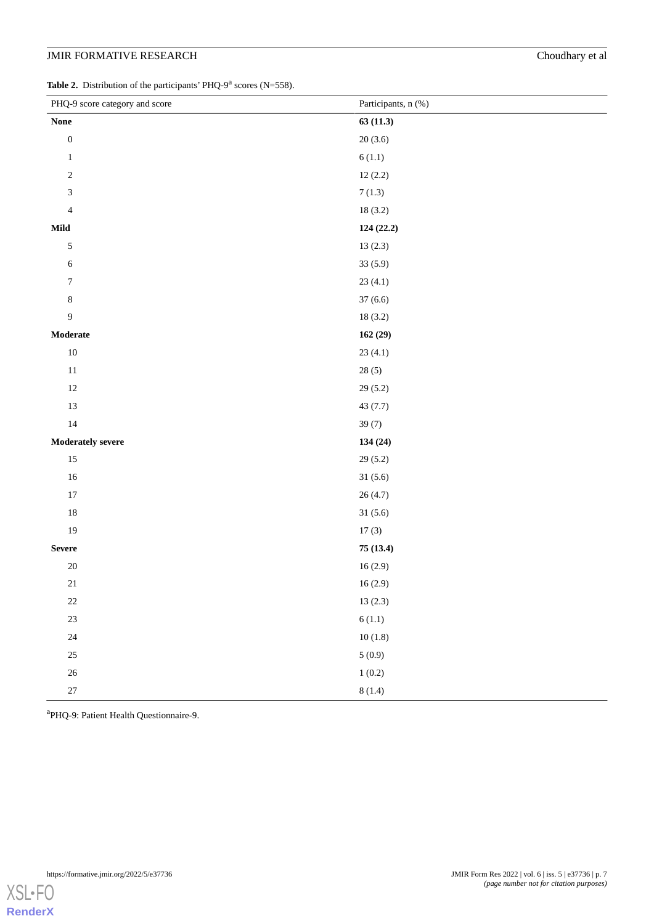<span id="page-6-0"></span>Table 2. Distribution of the participants' PHQ-9<sup>a</sup> scores (N=558).

| PHQ-9 score category and score    | Participants, n (%)  |
|-----------------------------------|----------------------|
| $\mathbf{None}$                   | 63(11.3)             |
| $\boldsymbol{0}$                  | 20(3.6)              |
| $\mathbf{1}$                      | 6(1.1)               |
| $\sqrt{2}$                        | 12(2.2)              |
| $\ensuremath{\mathfrak{Z}}$       | 7(1.3)               |
| $\overline{4}$                    | 18(3.2)              |
| Mild                              | 124(22.2)            |
| $\sqrt{5}$                        | 13(2.3)              |
| $\sqrt{6}$                        | 33(5.9)              |
| $\boldsymbol{7}$                  | 23(4.1)              |
| $\,$ 8 $\,$                       | 37(6.6)              |
| $\overline{9}$                    | 18(3.2)              |
| $\label{thm:mod} \textbf{Modern}$ | 162(29)              |
| $10\,$                            | 23(4.1)              |
| $11\,$                            | 28(5)                |
| $12\,$                            | 29(5.2)              |
| $13\,$                            | 43(7.7)              |
| $14\,$                            | 39(7)                |
| Moderately severe                 | 134 (24)             |
| $15\,$                            | 29(5.2)              |
| $16\,$                            | 31(5.6)              |
| $17\,$                            | 26(4.7)              |
| $18\,$                            | 31(5.6)              |
| 19                                | 17(3)                |
| ${\bf Severe}$                    | 75 (13.4)            |
| $20\,$                            | 16(2.9)              |
| $21\,$                            | $16\left(2.9\right)$ |
| $22\,$                            | 13(2.3)              |
| $23\,$                            | $6\left(1.1\right)$  |
| $24\,$                            | 10(1.8)              |
| $25\,$                            | 5(0.9)               |
| $26\,$                            | 1(0.2)               |
| $27\,$                            | 8(1.4)               |

a PHQ-9: Patient Health Questionnaire-9.

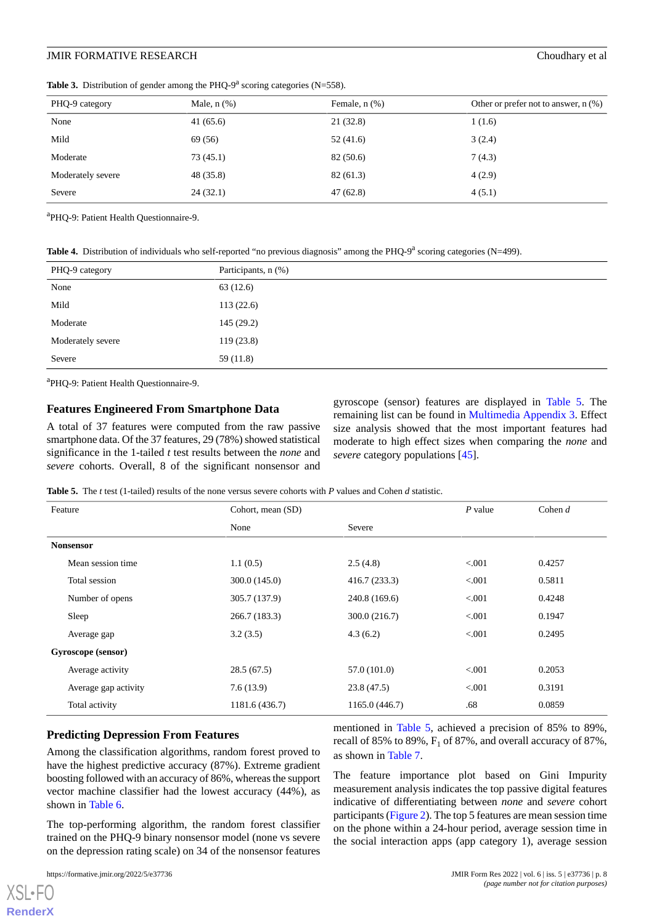| PHQ-9 category    | Male, $n$ $(\%)$ | Female, $n$ $(\%)$ | Other or prefer not to answer, $n$ (%) |
|-------------------|------------------|--------------------|----------------------------------------|
| None              | 41(65.6)         | 21(32.8)           | 1(1.6)                                 |
| Mild              | 69 (56)          | 52 (41.6)          | 3(2.4)                                 |
| Moderate          | 73(45.1)         | 82 (50.6)          | 7(4.3)                                 |
| Moderately severe | 48 (35.8)        | 82(61.3)           | 4(2.9)                                 |
| Severe            | 24(32.1)         | 47(62.8)           | 4(5.1)                                 |
|                   |                  |                    |                                        |

<span id="page-7-0"></span>**Table 3.** Distribution of gender among the PHQ-9<sup>a</sup> scoring categories (N=558).

<span id="page-7-1"></span>a PHQ-9: Patient Health Questionnaire-9.

Table 4. Distribution of individuals who self-reported "no previous diagnosis" among the PHQ-9<sup>a</sup> scoring categories (N=499).

| PHQ-9 category    | Participants, n (%) |
|-------------------|---------------------|
| None              | 63(12.6)            |
| Mild              | 113(22.6)           |
| Moderate          | 145(29.2)           |
| Moderately severe | 119(23.8)           |
| Severe            | 59(11.8)            |

a PHQ-9: Patient Health Questionnaire-9.

#### **Features Engineered From Smartphone Data**

<span id="page-7-2"></span>A total of 37 features were computed from the raw passive smartphone data. Of the 37 features, 29 (78%) showed statistical significance in the 1-tailed *t* test results between the *none* and *severe* cohorts. Overall, 8 of the significant nonsensor and gyroscope (sensor) features are displayed in [Table 5.](#page-7-2) The remaining list can be found in [Multimedia Appendix 3](#page-14-13). Effect size analysis showed that the most important features had moderate to high effect sizes when comparing the *none* and *severe* category populations [\[45](#page-16-11)].

**Table 5.** The *t* test (1-tailed) results of the none versus severe cohorts with *P* values and Cohen *d* statistic.

| Feature              | Cohort, mean (SD) |                | $P$ value | Cohen $d$ |
|----------------------|-------------------|----------------|-----------|-----------|
|                      | None              | Severe         |           |           |
| <b>Nonsensor</b>     |                   |                |           |           |
| Mean session time    | 1.1(0.5)          | 2.5(4.8)       | < 0.001   | 0.4257    |
| Total session        | 300.0(145.0)      | 416.7(233.3)   | < 0.001   | 0.5811    |
| Number of opens      | 305.7 (137.9)     | 240.8 (169.6)  | < 0.001   | 0.4248    |
| Sleep                | 266.7 (183.3)     | 300.0 (216.7)  | < 0.001   | 0.1947    |
| Average gap          | 3.2(3.5)          | 4.3(6.2)       | < 0.001   | 0.2495    |
| Gyroscope (sensor)   |                   |                |           |           |
| Average activity     | 28.5(67.5)        | 57.0 (101.0)   | < 0.001   | 0.2053    |
| Average gap activity | 7.6(13.9)         | 23.8(47.5)     | < 0.001   | 0.3191    |
| Total activity       | 1181.6 (436.7)    | 1165.0 (446.7) | .68       | 0.0859    |

#### **Predicting Depression From Features**

Among the classification algorithms, random forest proved to have the highest predictive accuracy (87%). Extreme gradient boosting followed with an accuracy of 86%, whereas the support vector machine classifier had the lowest accuracy (44%), as shown in [Table 6.](#page-8-0)

The top-performing algorithm, the random forest classifier trained on the PHQ-9 binary nonsensor model (none vs severe on the depression rating scale) on 34 of the nonsensor features

 $X$ SL•FO **[RenderX](http://www.renderx.com/)** mentioned in [Table 5](#page-7-2), achieved a precision of 85% to 89%, recall of 85% to 89%,  $F_1$  of 87%, and overall accuracy of 87%, as shown in [Table 7.](#page-9-0)

The feature importance plot based on Gini Impurity measurement analysis indicates the top passive digital features indicative of differentiating between *none* and *severe* cohort participants ([Figure 2\)](#page-9-1). The top 5 features are mean session time on the phone within a 24-hour period, average session time in the social interaction apps (app category 1), average session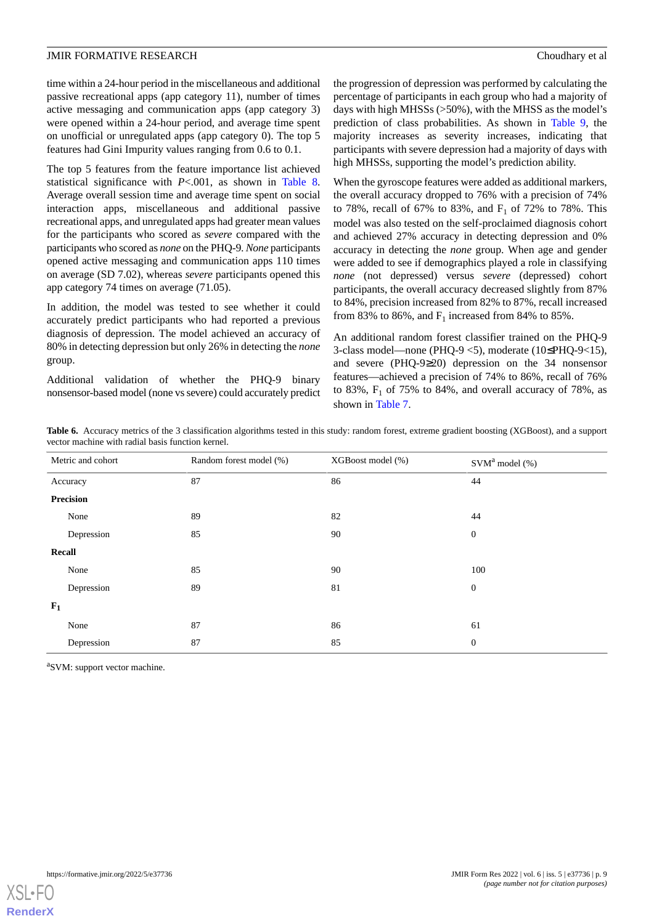time within a 24-hour period in the miscellaneous and additional passive recreational apps (app category 11), number of times active messaging and communication apps (app category 3) were opened within a 24-hour period, and average time spent on unofficial or unregulated apps (app category 0). The top 5 features had Gini Impurity values ranging from 0.6 to 0.1.

The top 5 features from the feature importance list achieved statistical significance with *P*<.001, as shown in [Table 8](#page-10-0). Average overall session time and average time spent on social interaction apps, miscellaneous and additional passive recreational apps, and unregulated apps had greater mean values for the participants who scored as *severe* compared with the participants who scored as *none* on the PHQ-9. *None* participants opened active messaging and communication apps 110 times on average (SD 7.02), whereas *severe* participants opened this app category 74 times on average (71.05).

In addition, the model was tested to see whether it could accurately predict participants who had reported a previous diagnosis of depression. The model achieved an accuracy of 80% in detecting depression but only 26% in detecting the *none* group.

<span id="page-8-0"></span>Additional validation of whether the PHQ-9 binary nonsensor-based model (none vs severe) could accurately predict the progression of depression was performed by calculating the percentage of participants in each group who had a majority of days with high MHSSs (>50%), with the MHSS as the model's prediction of class probabilities. As shown in [Table 9](#page-10-1), the majority increases as severity increases, indicating that participants with severe depression had a majority of days with high MHSSs, supporting the model's prediction ability.

When the gyroscope features were added as additional markers, the overall accuracy dropped to 76% with a precision of 74% to 78%, recall of 67% to 83%, and  $F_1$  of 72% to 78%. This model was also tested on the self-proclaimed diagnosis cohort and achieved 27% accuracy in detecting depression and 0% accuracy in detecting the *none* group. When age and gender were added to see if demographics played a role in classifying *none* (not depressed) versus *severe* (depressed) cohort participants, the overall accuracy decreased slightly from 87% to 84%, precision increased from 82% to 87%, recall increased from 83% to 86%, and  $F_1$  increased from 84% to 85%.

An additional random forest classifier trained on the PHQ-9 3-class model—none (PHQ-9 <5), moderate (10≤PHQ-9<15), and severe (PHQ-9≥20) depression on the 34 nonsensor features—achieved a precision of 74% to 86%, recall of 76% to 83%,  $F_1$  of 75% to 84%, and overall accuracy of 78%, as shown in [Table 7.](#page-9-0)

**Table 6.** Accuracy metrics of the 3 classification algorithms tested in this study: random forest, extreme gradient boosting (XGBoost), and a support vector machine with radial basis function kernel.

|       | Metric and cohort | Random forest model (%) | XGBoost model (%) | $SVMa$ model $(\% )$ |
|-------|-------------------|-------------------------|-------------------|----------------------|
|       | Accuracy          | 87                      | 86                | 44                   |
|       | Precision         |                         |                   |                      |
|       | None              | 89                      | 82                | 44                   |
|       | Depression        | 85                      | 90                | $\boldsymbol{0}$     |
|       | Recall            |                         |                   |                      |
|       | None              | 85                      | 90                | 100                  |
|       | Depression        | 89                      | 81                | $\boldsymbol{0}$     |
| $F_1$ |                   |                         |                   |                      |
|       | None              | 87                      | 86                | 61                   |
|       | Depression        | 87                      | 85                | $\boldsymbol{0}$     |

<sup>a</sup>SVM: support vector machine.

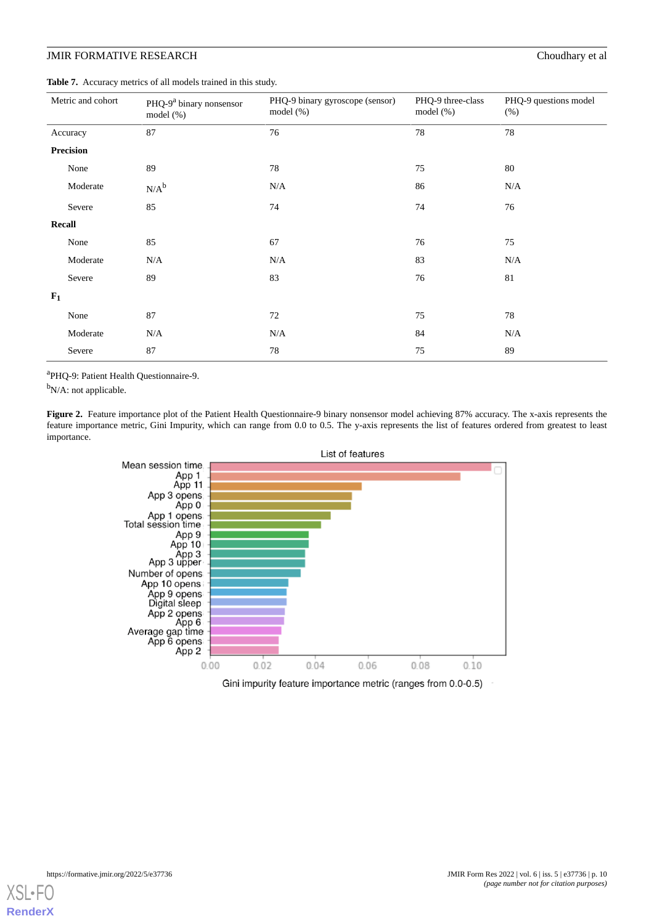<span id="page-9-0"></span>**Table 7.** Accuracy metrics of all models trained in this study.

| Metric and cohort | PHQ-9 <sup>a</sup> binary nonsensor<br>model $(\%)$ | PHQ-9 binary gyroscope (sensor)<br>model $(\%)$ | PHQ-9 three-class<br>model $(\%)$ | PHQ-9 questions model<br>(%) |
|-------------------|-----------------------------------------------------|-------------------------------------------------|-----------------------------------|------------------------------|
| Accuracy          | 87                                                  | 76                                              | 78                                | 78                           |
| <b>Precision</b>  |                                                     |                                                 |                                   |                              |
| None              | 89                                                  | 78                                              | 75                                | 80                           |
| Moderate          | $N/A^b$                                             | N/A                                             | 86                                | N/A                          |
| Severe            | 85                                                  | 74                                              | 74                                | 76                           |
| Recall            |                                                     |                                                 |                                   |                              |
| None              | 85                                                  | 67                                              | 76                                | 75                           |
| Moderate          | N/A                                                 | N/A                                             | 83                                | N/A                          |
| Severe            | 89                                                  | 83                                              | 76                                | 81                           |
| $F_1$             |                                                     |                                                 |                                   |                              |
| None              | 87                                                  | 72                                              | 75                                | 78                           |
| Moderate          | N/A                                                 | N/A                                             | 84                                | N/A                          |
| Severe            | 87                                                  | 78                                              | 75                                | 89                           |

<span id="page-9-1"></span>a PHQ-9: Patient Health Questionnaire-9.

<sup>b</sup>N/A: not applicable.

Figure 2. Feature importance plot of the Patient Health Questionnaire-9 binary nonsensor model achieving 87% accuracy. The x-axis represents the feature importance metric, Gini Impurity, which can range from 0.0 to 0.5. The y-axis represents the list of features ordered from greatest to least importance.



Gini impurity feature importance metric (ranges from 0.0-0.5)

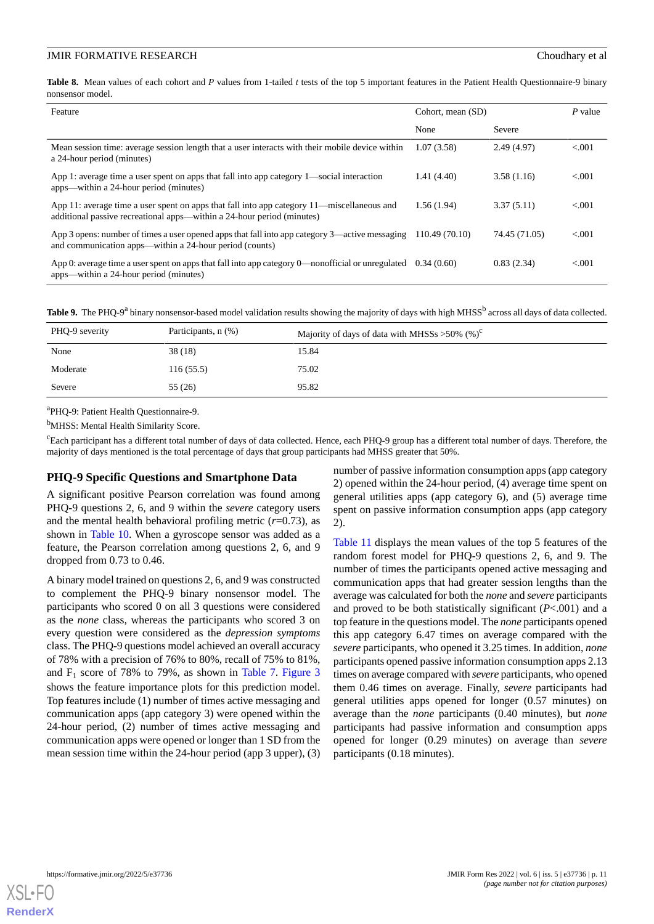<span id="page-10-0"></span>**Table 8.** Mean values of each cohort and *P* values from 1-tailed *t* tests of the top 5 important features in the Patient Health Questionnaire-9 binary nonsensor model.

| Feature                                                                                                                                                              | Cohort, mean (SD) |               | $P$ value |
|----------------------------------------------------------------------------------------------------------------------------------------------------------------------|-------------------|---------------|-----------|
|                                                                                                                                                                      | None              | Severe        |           |
| Mean session time: average session length that a user interacts with their mobile device within<br>a 24-hour period (minutes)                                        | 1.07(3.58)        | 2.49(4.97)    | < 0.001   |
| App 1: average time a user spent on apps that fall into app category 1—social interaction<br>apps—within a 24-hour period (minutes)                                  | 1.41(4.40)        | 3.58(1.16)    | < 0.01    |
| App 11: average time a user spent on apps that fall into app category 11—miscellaneous and<br>additional passive recreational apps—within a 24-hour period (minutes) | 1.56(1.94)        | 3.37(5.11)    | < 0.01    |
| App 3 opens: number of times a user opened apps that fall into app category 3—active messaging<br>and communication apps—within a 24-hour period (counts)            | 110.49 (70.10)    | 74.45 (71.05) | < 0.001   |
| App 0: average time a user spent on apps that fall into app category 0—nonofficial or unregulated<br>apps—within a 24-hour period (minutes)                          | 0.34(0.60)        | 0.83(2.34)    | < 0.001   |

<span id="page-10-1"></span>

|  |  |  | Table 9. The PHQ-9 <sup>a</sup> binary nonsensor-based model validation results showing the majority of days with high MHSS <sup>b</sup> across all days of data collected. |  |  |  |  |  |  |  |  |  |  |
|--|--|--|-----------------------------------------------------------------------------------------------------------------------------------------------------------------------------|--|--|--|--|--|--|--|--|--|--|
|--|--|--|-----------------------------------------------------------------------------------------------------------------------------------------------------------------------------|--|--|--|--|--|--|--|--|--|--|

| PHQ-9 severity | Participants, n (%) | Majority of days of data with MHSSs > 50% $(\%)^c$ |
|----------------|---------------------|----------------------------------------------------|
| None           | 38(18)              | 15.84                                              |
| Moderate       | 116(55.5)           | 75.02                                              |
| Severe         | 55 (26)             | 95.82                                              |

a PHQ-9: Patient Health Questionnaire-9.

<sup>b</sup>MHSS: Mental Health Similarity Score.

 $c_{\text{Each participant has a different total number of days of data collected. Hence, each PHO-9 group has a different total number of days. Therefore, the$ majority of days mentioned is the total percentage of days that group participants had MHSS greater that 50%.

#### **PHQ-9 Specific Questions and Smartphone Data**

A significant positive Pearson correlation was found among PHQ-9 questions 2, 6, and 9 within the *severe* category users and the mental health behavioral profiling metric  $(r=0.73)$ , as shown in [Table 10](#page-11-0). When a gyroscope sensor was added as a feature, the Pearson correlation among questions 2, 6, and 9 dropped from 0.73 to 0.46.

A binary model trained on questions 2, 6, and 9 was constructed to complement the PHQ-9 binary nonsensor model. The participants who scored 0 on all 3 questions were considered as the *none* class, whereas the participants who scored 3 on every question were considered as the *depression symptoms* class. The PHQ-9 questions model achieved an overall accuracy of 78% with a precision of 76% to 80%, recall of 75% to 81%, and  $F_1$  score of 78% to 79%, as shown in [Table 7.](#page-9-0) [Figure 3](#page-11-1) shows the feature importance plots for this prediction model. Top features include (1) number of times active messaging and communication apps (app category 3) were opened within the 24-hour period, (2) number of times active messaging and communication apps were opened or longer than 1 SD from the mean session time within the 24-hour period (app 3 upper), (3)

number of passive information consumption apps (app category 2) opened within the 24-hour period, (4) average time spent on general utilities apps (app category 6), and (5) average time spent on passive information consumption apps (app category 2).

[Table 11](#page-12-0) displays the mean values of the top 5 features of the random forest model for PHQ-9 questions 2, 6, and 9. The number of times the participants opened active messaging and communication apps that had greater session lengths than the average was calculated for both the *none* and *severe* participants and proved to be both statistically significant (*P*<.001) and a top feature in the questions model. The *none* participants opened this app category 6.47 times on average compared with the *severe* participants, who opened it 3.25 times. In addition, *none* participants opened passive information consumption apps 2.13 times on average compared with *severe* participants, who opened them 0.46 times on average. Finally, *severe* participants had general utilities apps opened for longer (0.57 minutes) on average than the *none* participants (0.40 minutes), but *none* participants had passive information and consumption apps opened for longer (0.29 minutes) on average than *severe* participants (0.18 minutes).

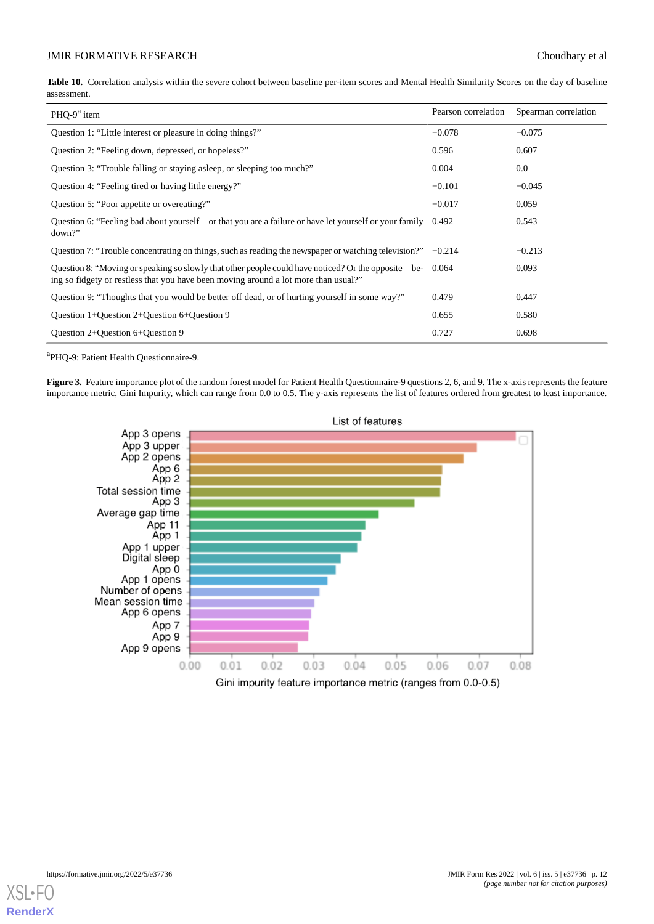<span id="page-11-0"></span>**Table 10.** Correlation analysis within the severe cohort between baseline per-item scores and Mental Health Similarity Scores on the day of baseline assessment.

| PHO-9 $a$ item                                                                                                                                                                                   | Pearson correlation | Spearman correlation |
|--------------------------------------------------------------------------------------------------------------------------------------------------------------------------------------------------|---------------------|----------------------|
| Question 1: "Little interest or pleasure in doing things?"                                                                                                                                       | $-0.078$            | $-0.075$             |
| Question 2: "Feeling down, depressed, or hopeless?"                                                                                                                                              | 0.596               | 0.607                |
| Question 3: "Trouble falling or staying asleep, or sleeping too much?"                                                                                                                           | 0.004               | 0.0                  |
| Question 4: "Feeling tired or having little energy?"                                                                                                                                             | $-0.101$            | $-0.045$             |
| Question 5: "Poor appetite or overeating?"                                                                                                                                                       | $-0.017$            | 0.059                |
| Question 6: "Feeling bad about yourself—or that you are a failure or have let yourself or your family<br>down?                                                                                   | 0.492               | 0.543                |
| Question 7: "Trouble concentrating on things, such as reading the newspaper or watching television?" $-0.214$                                                                                    |                     | $-0.213$             |
| Question 8: "Moving or speaking so slowly that other people could have noticed? Or the opposite—be- 0.064<br>ing so fidgety or restless that you have been moving around a lot more than usual?" |                     | 0.093                |
| Question 9: "Thoughts that you would be better off dead, or of hurting yourself in some way?"                                                                                                    | 0.479               | 0.447                |
| Question 1+Question 2+Question $6+Q$ uestion 9                                                                                                                                                   | 0.655               | 0.580                |
| Ouestion $2+$ Ouestion $6+$ Ouestion 9                                                                                                                                                           | 0.727               | 0.698                |

<span id="page-11-1"></span>a PHQ-9: Patient Health Questionnaire-9.

Figure 3. Feature importance plot of the random forest model for Patient Health Questionnaire-9 questions 2, 6, and 9. The x-axis represents the feature importance metric, Gini Impurity, which can range from 0.0 to 0.5. The y-axis represents the list of features ordered from greatest to least importance.



Gini impurity feature importance metric (ranges from 0.0-0.5)

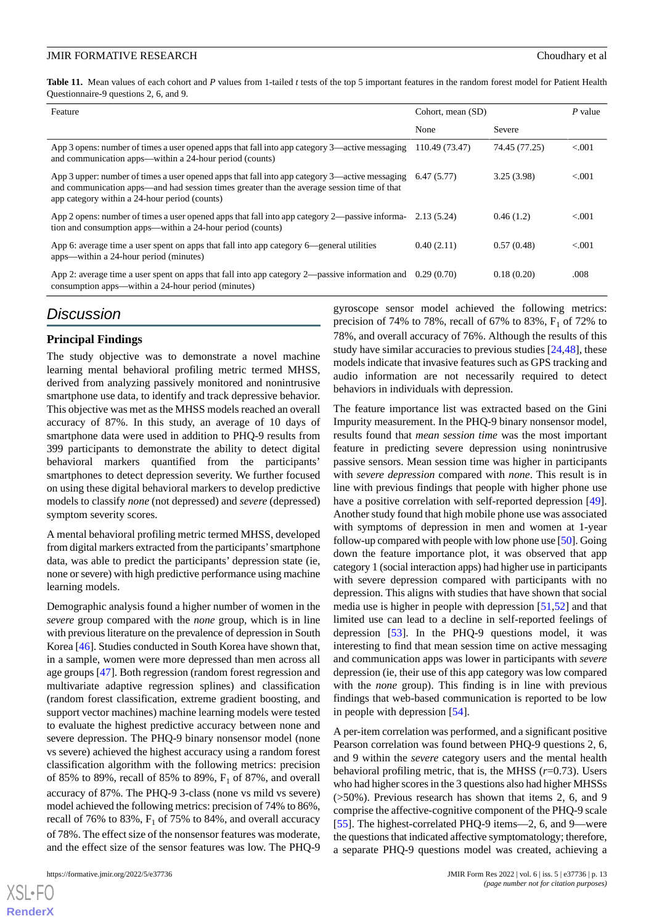<span id="page-12-0"></span>**Table 11.** Mean values of each cohort and *P* values from 1-tailed *t* tests of the top 5 important features in the random forest model for Patient Health Questionnaire-9 questions 2, 6, and 9.

| Feature                                                                                                                                                                                                                                       | Cohort, mean (SD) |               | P value |
|-----------------------------------------------------------------------------------------------------------------------------------------------------------------------------------------------------------------------------------------------|-------------------|---------------|---------|
|                                                                                                                                                                                                                                               | None              | Severe        |         |
| App 3 opens: number of times a user opened apps that fall into app category 3—active messaging<br>and communication apps—within a 24-hour period (counts)                                                                                     | 110.49 (73.47)    | 74.45 (77.25) | < 0.001 |
| App 3 upper: number of times a user opened apps that fall into app category 3—active messaging<br>and communication apps—and had session times greater than the average session time of that<br>app category within a 24-hour period (counts) | 6.47(5.77)        | 3.25(3.98)    | < 0.001 |
| App 2 opens: number of times a user opened apps that fall into app category 2—passive informa- 2.13 (5.24)<br>tion and consumption apps—within a 24-hour period (counts)                                                                      |                   | 0.46(1.2)     | < 0.001 |
| App 6: average time a user spent on apps that fall into app category 6—general utilities<br>apps—within a 24-hour period (minutes)                                                                                                            | 0.40(2.11)        | 0.57(0.48)    | < 0.001 |
| App 2: average time a user spent on apps that fall into app category $2$ —passive information and 0.29 (0.70)<br>consumption apps—within a 24-hour period (minutes)                                                                           |                   | 0.18(0.20)    | .008    |

## *Discussion*

#### **Principal Findings**

The study objective was to demonstrate a novel machine learning mental behavioral profiling metric termed MHSS, derived from analyzing passively monitored and nonintrusive smartphone use data, to identify and track depressive behavior. This objective was met as the MHSS models reached an overall accuracy of 87%. In this study, an average of 10 days of smartphone data were used in addition to PHQ-9 results from 399 participants to demonstrate the ability to detect digital behavioral markers quantified from the participants' smartphones to detect depression severity. We further focused on using these digital behavioral markers to develop predictive models to classify *none* (not depressed) and *severe* (depressed) symptom severity scores.

A mental behavioral profiling metric termed MHSS, developed from digital markers extracted from the participants'smartphone data, was able to predict the participants' depression state (ie, none or severe) with high predictive performance using machine learning models.

Demographic analysis found a higher number of women in the *severe* group compared with the *none* group, which is in line with previous literature on the prevalence of depression in South Korea [[46\]](#page-16-12). Studies conducted in South Korea have shown that, in a sample, women were more depressed than men across all age groups [\[47](#page-16-13)]. Both regression (random forest regression and multivariate adaptive regression splines) and classification (random forest classification, extreme gradient boosting, and support vector machines) machine learning models were tested to evaluate the highest predictive accuracy between none and severe depression. The PHQ-9 binary nonsensor model (none vs severe) achieved the highest accuracy using a random forest classification algorithm with the following metrics: precision of 85% to 89%, recall of 85% to 89%,  $F_1$  of 87%, and overall accuracy of 87%. The PHQ-9 3-class (none vs mild vs severe) model achieved the following metrics: precision of 74% to 86%, recall of 76% to 83%,  $F_1$  of 75% to 84%, and overall accuracy of 78%. The effect size of the nonsensor features was moderate, and the effect size of the sensor features was low. The PHQ-9

 $X$ SL•F $O$ **[RenderX](http://www.renderx.com/)** gyroscope sensor model achieved the following metrics: precision of 74% to 78%, recall of 67% to 83%,  $F_1$  of 72% to 78%, and overall accuracy of 76%. Although the results of this study have similar accuracies to previous studies [[24,](#page-15-12)[48](#page-16-14)], these models indicate that invasive features such as GPS tracking and audio information are not necessarily required to detect behaviors in individuals with depression.

The feature importance list was extracted based on the Gini Impurity measurement. In the PHQ-9 binary nonsensor model, results found that *mean session time* was the most important feature in predicting severe depression using nonintrusive passive sensors. Mean session time was higher in participants with *severe depression* compared with *none*. This result is in line with previous findings that people with higher phone use have a positive correlation with self-reported depression [[49\]](#page-16-15). Another study found that high mobile phone use was associated with symptoms of depression in men and women at 1-year follow-up compared with people with low phone use [[50\]](#page-16-16). Going down the feature importance plot, it was observed that app category 1 (social interaction apps) had higher use in participants with severe depression compared with participants with no depression. This aligns with studies that have shown that social media use is higher in people with depression [\[51](#page-16-17),[52\]](#page-16-18) and that limited use can lead to a decline in self-reported feelings of depression [\[53](#page-16-19)]. In the PHQ-9 questions model, it was interesting to find that mean session time on active messaging and communication apps was lower in participants with *severe* depression (ie, their use of this app category was low compared with the *none* group). This finding is in line with previous findings that web-based communication is reported to be low in people with depression [[54\]](#page-16-20).

A per-item correlation was performed, and a significant positive Pearson correlation was found between PHQ-9 questions 2, 6, and 9 within the *severe* category users and the mental health behavioral profiling metric, that is, the MHSS (*r*=0.73). Users who had higher scores in the 3 questions also had higher MHSSs (>50%). Previous research has shown that items 2, 6, and 9 comprise the affective-cognitive component of the PHQ-9 scale [[55\]](#page-16-21). The highest-correlated PHQ-9 items—2, 6, and 9—were the questions that indicated affective symptomatology; therefore, a separate PHQ-9 questions model was created, achieving a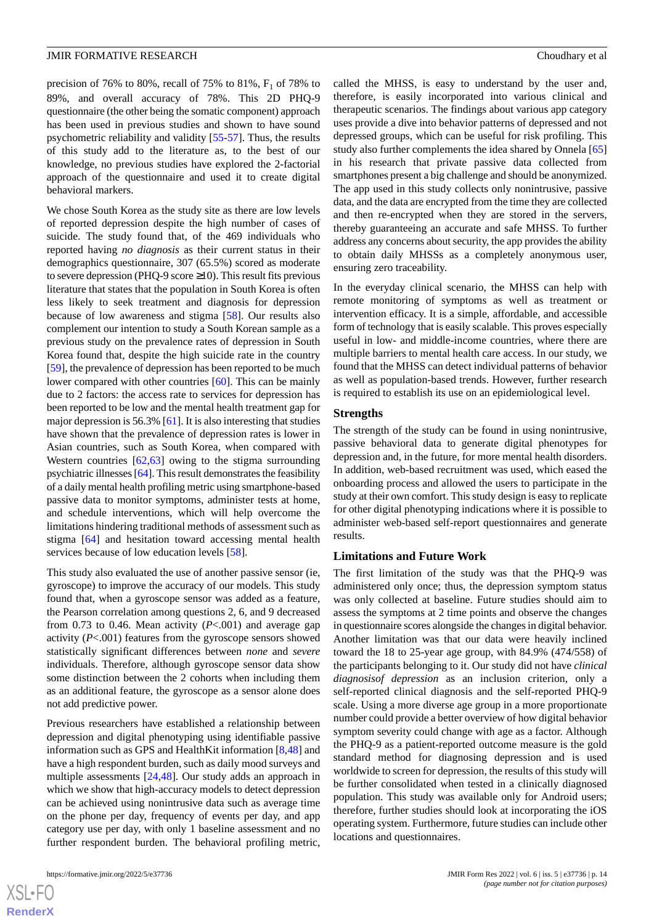precision of 76% to 80%, recall of 75% to 81%,  $F_1$  of 78% to 89%, and overall accuracy of 78%. This 2D PHQ-9 questionnaire (the other being the somatic component) approach has been used in previous studies and shown to have sound psychometric reliability and validity [[55-](#page-16-21)[57](#page-17-0)]. Thus, the results of this study add to the literature as, to the best of our knowledge, no previous studies have explored the 2-factorial approach of the questionnaire and used it to create digital behavioral markers.

We chose South Korea as the study site as there are low levels of reported depression despite the high number of cases of suicide. The study found that, of the 469 individuals who reported having *no diagnosis* as their current status in their demographics questionnaire, 307 (65.5%) scored as moderate to severe depression (PHQ-9 score  $\geq$ 10). This result fits previous literature that states that the population in South Korea is often less likely to seek treatment and diagnosis for depression because of low awareness and stigma [\[58](#page-17-1)]. Our results also complement our intention to study a South Korean sample as a previous study on the prevalence rates of depression in South Korea found that, despite the high suicide rate in the country [[59\]](#page-17-2), the prevalence of depression has been reported to be much lower compared with other countries [\[60](#page-17-3)]. This can be mainly due to 2 factors: the access rate to services for depression has been reported to be low and the mental health treatment gap for major depression is 56.3% [\[61](#page-17-4)]. It is also interesting that studies have shown that the prevalence of depression rates is lower in Asian countries, such as South Korea, when compared with Western countries [[62](#page-17-5)[,63](#page-17-6)] owing to the stigma surrounding psychiatric illnesses [\[64](#page-17-7)]. This result demonstrates the feasibility of a daily mental health profiling metric using smartphone-based passive data to monitor symptoms, administer tests at home, and schedule interventions, which will help overcome the limitations hindering traditional methods of assessment such as stigma [[64\]](#page-17-7) and hesitation toward accessing mental health services because of low education levels [[58\]](#page-17-1).

This study also evaluated the use of another passive sensor (ie, gyroscope) to improve the accuracy of our models. This study found that, when a gyroscope sensor was added as a feature, the Pearson correlation among questions 2, 6, and 9 decreased from 0.73 to 0.46. Mean activity  $(P<.001)$  and average gap activity (*P*<.001) features from the gyroscope sensors showed statistically significant differences between *none* and *severe* individuals. Therefore, although gyroscope sensor data show some distinction between the 2 cohorts when including them as an additional feature, the gyroscope as a sensor alone does not add predictive power.

Previous researchers have established a relationship between depression and digital phenotyping using identifiable passive information such as GPS and HealthKit information [\[8](#page-14-7),[48\]](#page-16-14) and have a high respondent burden, such as daily mood surveys and multiple assessments [\[24](#page-15-12),[48\]](#page-16-14). Our study adds an approach in which we show that high-accuracy models to detect depression can be achieved using nonintrusive data such as average time on the phone per day, frequency of events per day, and app category use per day, with only 1 baseline assessment and no further respondent burden. The behavioral profiling metric,

called the MHSS, is easy to understand by the user and, therefore, is easily incorporated into various clinical and therapeutic scenarios. The findings about various app category uses provide a dive into behavior patterns of depressed and not depressed groups, which can be useful for risk profiling. This study also further complements the idea shared by Onnela [\[65](#page-17-8)] in his research that private passive data collected from smartphones present a big challenge and should be anonymized. The app used in this study collects only nonintrusive, passive data, and the data are encrypted from the time they are collected and then re-encrypted when they are stored in the servers, thereby guaranteeing an accurate and safe MHSS. To further address any concerns about security, the app provides the ability to obtain daily MHSSs as a completely anonymous user, ensuring zero traceability.

In the everyday clinical scenario, the MHSS can help with remote monitoring of symptoms as well as treatment or intervention efficacy. It is a simple, affordable, and accessible form of technology that is easily scalable. This proves especially useful in low- and middle-income countries, where there are multiple barriers to mental health care access. In our study, we found that the MHSS can detect individual patterns of behavior as well as population-based trends. However, further research is required to establish its use on an epidemiological level.

#### **Strengths**

The strength of the study can be found in using nonintrusive, passive behavioral data to generate digital phenotypes for depression and, in the future, for more mental health disorders. In addition, web-based recruitment was used, which eased the onboarding process and allowed the users to participate in the study at their own comfort. This study design is easy to replicate for other digital phenotyping indications where it is possible to administer web-based self-report questionnaires and generate results.

#### **Limitations and Future Work**

The first limitation of the study was that the PHQ-9 was administered only once; thus, the depression symptom status was only collected at baseline. Future studies should aim to assess the symptoms at 2 time points and observe the changes in questionnaire scores alongside the changes in digital behavior. Another limitation was that our data were heavily inclined toward the 18 to 25-year age group, with 84.9% (474/558) of the participants belonging to it. Our study did not have *clinical diagnosisof depression* as an inclusion criterion, only a self-reported clinical diagnosis and the self-reported PHQ-9 scale. Using a more diverse age group in a more proportionate number could provide a better overview of how digital behavior symptom severity could change with age as a factor. Although the PHQ-9 as a patient-reported outcome measure is the gold standard method for diagnosing depression and is used worldwide to screen for depression, the results of this study will be further consolidated when tested in a clinically diagnosed population. This study was available only for Android users; therefore, further studies should look at incorporating the iOS operating system. Furthermore, future studies can include other locations and questionnaires.

```
XS\cdotFC
RenderX
```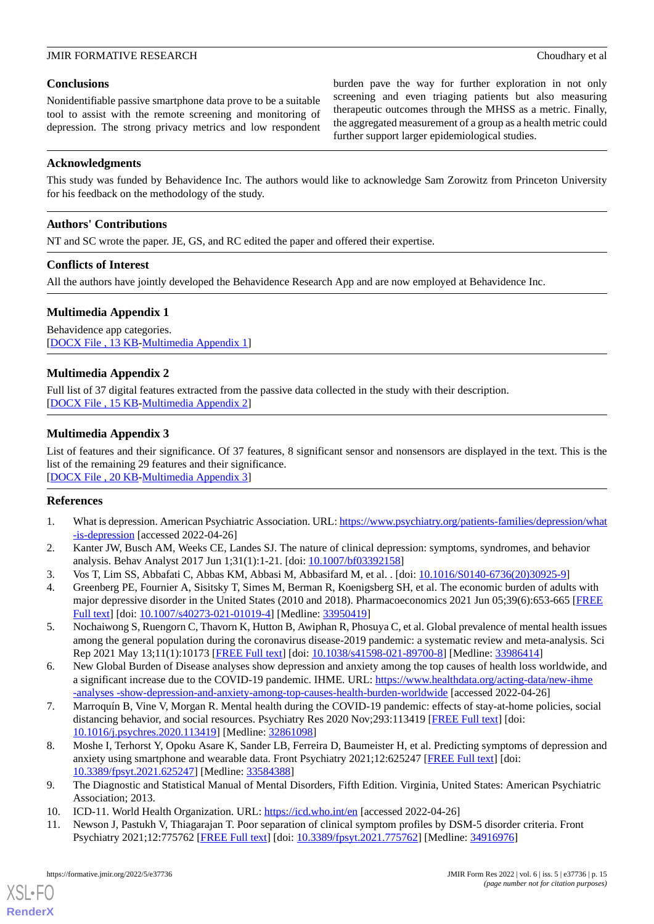#### **Conclusions**

Nonidentifiable passive smartphone data prove to be a suitable tool to assist with the remote screening and monitoring of depression. The strong privacy metrics and low respondent burden pave the way for further exploration in not only screening and even triaging patients but also measuring therapeutic outcomes through the MHSS as a metric. Finally, the aggregated measurement of a group as a health metric could further support larger epidemiological studies.

#### **Acknowledgments**

This study was funded by Behavidence Inc. The authors would like to acknowledge Sam Zorowitz from Princeton University for his feedback on the methodology of the study.

#### **Authors' Contributions**

NT and SC wrote the paper. JE, GS, and RC edited the paper and offered their expertise.

#### **Conflicts of Interest**

<span id="page-14-11"></span>All the authors have jointly developed the Behavidence Research App and are now employed at Behavidence Inc.

### **Multimedia Appendix 1**

<span id="page-14-12"></span>Behavidence app categories. [[DOCX File , 13 KB](https://jmir.org/api/download?alt_name=formative_v6i5e37736_app1.docx&filename=2ba42042cf3fc624c5a43fe6ec330e98.docx)-[Multimedia Appendix 1\]](https://jmir.org/api/download?alt_name=formative_v6i5e37736_app1.docx&filename=2ba42042cf3fc624c5a43fe6ec330e98.docx)

#### **Multimedia Appendix 2**

<span id="page-14-13"></span>Full list of 37 digital features extracted from the passive data collected in the study with their description. [[DOCX File , 15 KB](https://jmir.org/api/download?alt_name=formative_v6i5e37736_app2.docx&filename=4d3e2de32bfa8fe4e79ededbcba1d13a.docx)-[Multimedia Appendix 2\]](https://jmir.org/api/download?alt_name=formative_v6i5e37736_app2.docx&filename=4d3e2de32bfa8fe4e79ededbcba1d13a.docx)

#### **Multimedia Appendix 3**

<span id="page-14-0"></span>List of features and their significance. Of 37 features, 8 significant sensor and nonsensors are displayed in the text. This is the list of the remaining 29 features and their significance. [[DOCX File , 20 KB](https://jmir.org/api/download?alt_name=formative_v6i5e37736_app3.docx&filename=55ddf66ebeba972e0471cf2869cc541b.docx)-[Multimedia Appendix 3\]](https://jmir.org/api/download?alt_name=formative_v6i5e37736_app3.docx&filename=55ddf66ebeba972e0471cf2869cc541b.docx)

#### <span id="page-14-1"></span>**References**

- <span id="page-14-3"></span><span id="page-14-2"></span>1. What is depression. American Psychiatric Association. URL: [https://www.psychiatry.org/patients-families/depression/what](https://www.psychiatry.org/patients-families/depression/what  -is-depression) [-is-depression](https://www.psychiatry.org/patients-families/depression/what  -is-depression) [accessed 2022-04-26]
- 2. Kanter JW, Busch AM, Weeks CE, Landes SJ. The nature of clinical depression: symptoms, syndromes, and behavior analysis. Behav Analyst 2017 Jun 1;31(1):1-21. [doi: [10.1007/bf03392158\]](http://dx.doi.org/10.1007/bf03392158)
- <span id="page-14-4"></span>3. Vos T, Lim SS, Abbafati C, Abbas KM, Abbasi M, Abbasifard M, et al. . [doi: [10.1016/S0140-6736\(20\)30925-9\]](http://dx.doi.org/10.1016/S0140-6736(20)30925-9)
- <span id="page-14-5"></span>4. Greenberg PE, Fournier A, Sisitsky T, Simes M, Berman R, Koenigsberg SH, et al. The economic burden of adults with major depressive disorder in the United States (2010 and 2018). Pharmacoeconomics 2021 Jun 05;39(6):653-665 [[FREE](http://europepmc.org/abstract/MED/33950419) [Full text\]](http://europepmc.org/abstract/MED/33950419) [doi: [10.1007/s40273-021-01019-4](http://dx.doi.org/10.1007/s40273-021-01019-4)] [Medline: [33950419](http://www.ncbi.nlm.nih.gov/entrez/query.fcgi?cmd=Retrieve&db=PubMed&list_uids=33950419&dopt=Abstract)]
- <span id="page-14-6"></span>5. Nochaiwong S, Ruengorn C, Thavorn K, Hutton B, Awiphan R, Phosuya C, et al. Global prevalence of mental health issues among the general population during the coronavirus disease-2019 pandemic: a systematic review and meta-analysis. Sci Rep 2021 May 13;11(1):10173 [\[FREE Full text\]](https://doi.org/10.1038/s41598-021-89700-8) [doi: [10.1038/s41598-021-89700-8](http://dx.doi.org/10.1038/s41598-021-89700-8)] [Medline: [33986414](http://www.ncbi.nlm.nih.gov/entrez/query.fcgi?cmd=Retrieve&db=PubMed&list_uids=33986414&dopt=Abstract)]
- <span id="page-14-7"></span>6. New Global Burden of Disease analyses show depression and anxiety among the top causes of health loss worldwide, and a significant increase due to the COVID-19 pandemic. IHME. URL: [https://www.healthdata.org/acting-data/new-ihme](https://www.healthdata.org/acting-data/new-ihme-analyses-show-depression-and-anxiety-among-top-causes-health-burden-worldwide) [-analyses -show-depression-and-anxiety-among-top-causes-health-burden-worldwide](https://www.healthdata.org/acting-data/new-ihme-analyses-show-depression-and-anxiety-among-top-causes-health-burden-worldwide) [accessed 2022-04-26]
- <span id="page-14-8"></span>7. Marroquín B, Vine V, Morgan R. Mental health during the COVID-19 pandemic: effects of stay-at-home policies, social distancing behavior, and social resources. Psychiatry Res 2020 Nov; 293:113419 [\[FREE Full text\]](http://europepmc.org/abstract/MED/32861098) [doi: [10.1016/j.psychres.2020.113419](http://dx.doi.org/10.1016/j.psychres.2020.113419)] [Medline: [32861098\]](http://www.ncbi.nlm.nih.gov/entrez/query.fcgi?cmd=Retrieve&db=PubMed&list_uids=32861098&dopt=Abstract)
- <span id="page-14-10"></span><span id="page-14-9"></span>8. Moshe I, Terhorst Y, Opoku Asare K, Sander LB, Ferreira D, Baumeister H, et al. Predicting symptoms of depression and anxiety using smartphone and wearable data. Front Psychiatry 2021;12:625247 [\[FREE Full text\]](https://doi.org/10.3389/fpsyt.2021.625247) [doi: [10.3389/fpsyt.2021.625247\]](http://dx.doi.org/10.3389/fpsyt.2021.625247) [Medline: [33584388\]](http://www.ncbi.nlm.nih.gov/entrez/query.fcgi?cmd=Retrieve&db=PubMed&list_uids=33584388&dopt=Abstract)
- 9. The Diagnostic and Statistical Manual of Mental Disorders, Fifth Edition. Virginia, United States: American Psychiatric Association; 2013.
- 10. ICD-11. World Health Organization. URL: <https://icd.who.int/en> [accessed 2022-04-26]
- 11. Newson J, Pastukh V, Thiagarajan T. Poor separation of clinical symptom profiles by DSM-5 disorder criteria. Front Psychiatry 2021;12:775762 [[FREE Full text](https://doi.org/10.3389/fpsyt.2021.775762)] [doi: [10.3389/fpsyt.2021.775762](http://dx.doi.org/10.3389/fpsyt.2021.775762)] [Medline: [34916976](http://www.ncbi.nlm.nih.gov/entrez/query.fcgi?cmd=Retrieve&db=PubMed&list_uids=34916976&dopt=Abstract)]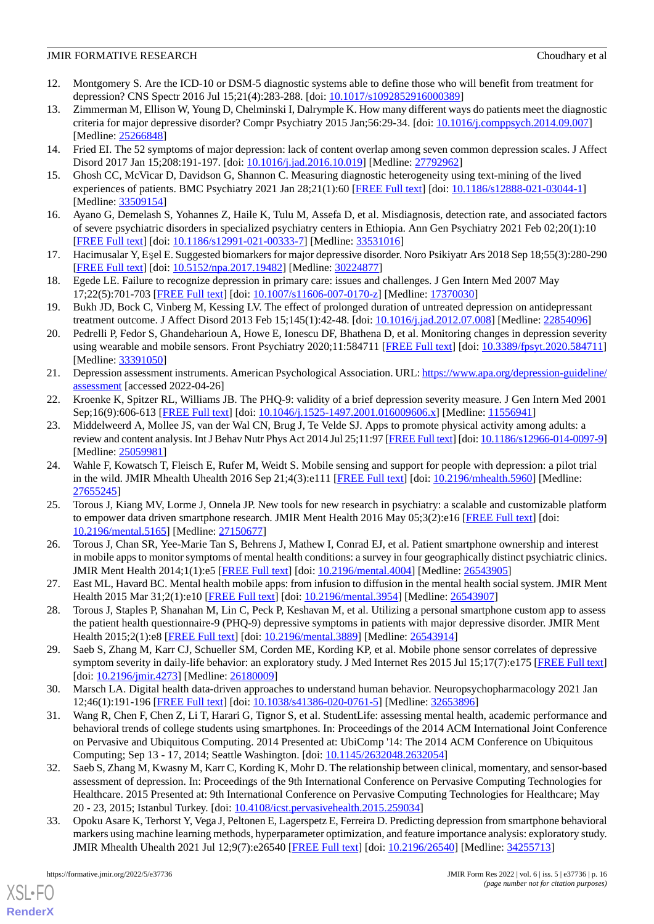- <span id="page-15-0"></span>12. Montgomery S. Are the ICD-10 or DSM-5 diagnostic systems able to define those who will benefit from treatment for depression? CNS Spectr 2016 Jul 15;21(4):283-288. [doi: [10.1017/s1092852916000389](http://dx.doi.org/10.1017/s1092852916000389)]
- <span id="page-15-1"></span>13. Zimmerman M, Ellison W, Young D, Chelminski I, Dalrymple K. How many different ways do patients meet the diagnostic criteria for major depressive disorder? Compr Psychiatry 2015 Jan;56:29-34. [doi: [10.1016/j.comppsych.2014.09.007](http://dx.doi.org/10.1016/j.comppsych.2014.09.007)] [Medline: [25266848](http://www.ncbi.nlm.nih.gov/entrez/query.fcgi?cmd=Retrieve&db=PubMed&list_uids=25266848&dopt=Abstract)]
- <span id="page-15-3"></span><span id="page-15-2"></span>14. Fried EI. The 52 symptoms of major depression: lack of content overlap among seven common depression scales. J Affect Disord 2017 Jan 15;208:191-197. [doi: [10.1016/j.jad.2016.10.019](http://dx.doi.org/10.1016/j.jad.2016.10.019)] [Medline: [27792962\]](http://www.ncbi.nlm.nih.gov/entrez/query.fcgi?cmd=Retrieve&db=PubMed&list_uids=27792962&dopt=Abstract)
- <span id="page-15-4"></span>15. Ghosh CC, McVicar D, Davidson G, Shannon C. Measuring diagnostic heterogeneity using text-mining of the lived experiences of patients. BMC Psychiatry 2021 Jan 28;21(1):60 [[FREE Full text](https://bmcpsychiatry.biomedcentral.com/articles/10.1186/s12888-021-03044-1)] [doi: [10.1186/s12888-021-03044-1\]](http://dx.doi.org/10.1186/s12888-021-03044-1) [Medline: [33509154](http://www.ncbi.nlm.nih.gov/entrez/query.fcgi?cmd=Retrieve&db=PubMed&list_uids=33509154&dopt=Abstract)]
- <span id="page-15-5"></span>16. Ayano G, Demelash S, Yohannes Z, Haile K, Tulu M, Assefa D, et al. Misdiagnosis, detection rate, and associated factors of severe psychiatric disorders in specialized psychiatry centers in Ethiopia. Ann Gen Psychiatry 2021 Feb 02;20(1):10 [[FREE Full text](https://annals-general-psychiatry.biomedcentral.com/articles/10.1186/s12991-021-00333-7)] [doi: [10.1186/s12991-021-00333-7\]](http://dx.doi.org/10.1186/s12991-021-00333-7) [Medline: [33531016](http://www.ncbi.nlm.nih.gov/entrez/query.fcgi?cmd=Retrieve&db=PubMed&list_uids=33531016&dopt=Abstract)]
- <span id="page-15-6"></span>17. Hacimusalar Y, Eşel E. Suggested biomarkers for major depressive disorder. Noro Psikiyatr Ars 2018 Sep 18;55(3):280-290 [[FREE Full text](http://europepmc.org/abstract/MED/30224877)] [doi: [10.5152/npa.2017.19482](http://dx.doi.org/10.5152/npa.2017.19482)] [Medline: [30224877\]](http://www.ncbi.nlm.nih.gov/entrez/query.fcgi?cmd=Retrieve&db=PubMed&list_uids=30224877&dopt=Abstract)
- <span id="page-15-7"></span>18. Egede LE. Failure to recognize depression in primary care: issues and challenges. J Gen Intern Med 2007 May 17;22(5):701-703 [[FREE Full text](http://europepmc.org/abstract/MED/17370030)] [doi: [10.1007/s11606-007-0170-z](http://dx.doi.org/10.1007/s11606-007-0170-z)] [Medline: [17370030\]](http://www.ncbi.nlm.nih.gov/entrez/query.fcgi?cmd=Retrieve&db=PubMed&list_uids=17370030&dopt=Abstract)
- <span id="page-15-8"></span>19. Bukh JD, Bock C, Vinberg M, Kessing LV. The effect of prolonged duration of untreated depression on antidepressant treatment outcome. J Affect Disord 2013 Feb 15;145(1):42-48. [doi: [10.1016/j.jad.2012.07.008](http://dx.doi.org/10.1016/j.jad.2012.07.008)] [Medline: [22854096](http://www.ncbi.nlm.nih.gov/entrez/query.fcgi?cmd=Retrieve&db=PubMed&list_uids=22854096&dopt=Abstract)]
- <span id="page-15-9"></span>20. Pedrelli P, Fedor S, Ghandeharioun A, Howe E, Ionescu DF, Bhathena D, et al. Monitoring changes in depression severity using wearable and mobile sensors. Front Psychiatry 2020;11:584711 [\[FREE Full text\]](https://doi.org/10.3389/fpsyt.2020.584711) [doi: [10.3389/fpsyt.2020.584711](http://dx.doi.org/10.3389/fpsyt.2020.584711)] [Medline: [33391050](http://www.ncbi.nlm.nih.gov/entrez/query.fcgi?cmd=Retrieve&db=PubMed&list_uids=33391050&dopt=Abstract)]
- <span id="page-15-11"></span><span id="page-15-10"></span>21. Depression assessment instruments. American Psychological Association. URL: [https://www.apa.org/depression-guideline/](https://www.apa.org/depression-guideline/assessment) [assessment](https://www.apa.org/depression-guideline/assessment) [accessed 2022-04-26]
- 22. Kroenke K, Spitzer RL, Williams JB. The PHQ-9: validity of a brief depression severity measure. J Gen Intern Med 2001 Sep;16(9):606-613 [[FREE Full text](https://onlinelibrary.wiley.com/resolve/openurl?genre=article&sid=nlm:pubmed&issn=0884-8734&date=2001&volume=16&issue=9&spage=606)] [doi: [10.1046/j.1525-1497.2001.016009606.x\]](http://dx.doi.org/10.1046/j.1525-1497.2001.016009606.x) [Medline: [11556941\]](http://www.ncbi.nlm.nih.gov/entrez/query.fcgi?cmd=Retrieve&db=PubMed&list_uids=11556941&dopt=Abstract)
- <span id="page-15-12"></span>23. Middelweerd A, Mollee JS, van der Wal CN, Brug J, Te Velde SJ. Apps to promote physical activity among adults: a review and content analysis. Int J Behav Nutr Phys Act 2014 Jul 25;11:97 [\[FREE Full text](https://ijbnpa.biomedcentral.com/articles/10.1186/s12966-014-0097-9)] [doi: [10.1186/s12966-014-0097-9\]](http://dx.doi.org/10.1186/s12966-014-0097-9) [Medline: [25059981](http://www.ncbi.nlm.nih.gov/entrez/query.fcgi?cmd=Retrieve&db=PubMed&list_uids=25059981&dopt=Abstract)]
- <span id="page-15-13"></span>24. Wahle F, Kowatsch T, Fleisch E, Rufer M, Weidt S. Mobile sensing and support for people with depression: a pilot trial in the wild. JMIR Mhealth Uhealth 2016 Sep 21;4(3):e111 [\[FREE Full text\]](https://mhealth.jmir.org/2016/3/e111/) [doi: [10.2196/mhealth.5960\]](http://dx.doi.org/10.2196/mhealth.5960) [Medline: [27655245](http://www.ncbi.nlm.nih.gov/entrez/query.fcgi?cmd=Retrieve&db=PubMed&list_uids=27655245&dopt=Abstract)]
- <span id="page-15-14"></span>25. Torous J, Kiang MV, Lorme J, Onnela JP. New tools for new research in psychiatry: a scalable and customizable platform to empower data driven smartphone research. JMIR Ment Health 2016 May 05;3(2):e16 [\[FREE Full text\]](https://mental.jmir.org/2016/2/e16/) [doi: [10.2196/mental.5165\]](http://dx.doi.org/10.2196/mental.5165) [Medline: [27150677](http://www.ncbi.nlm.nih.gov/entrez/query.fcgi?cmd=Retrieve&db=PubMed&list_uids=27150677&dopt=Abstract)]
- <span id="page-15-16"></span><span id="page-15-15"></span>26. Torous J, Chan SR, Yee-Marie Tan S, Behrens J, Mathew I, Conrad EJ, et al. Patient smartphone ownership and interest in mobile apps to monitor symptoms of mental health conditions: a survey in four geographically distinct psychiatric clinics. JMIR Ment Health 2014;1(1):e5 [\[FREE Full text](https://mental.jmir.org/2014/1/e5/)] [doi: [10.2196/mental.4004\]](http://dx.doi.org/10.2196/mental.4004) [Medline: [26543905](http://www.ncbi.nlm.nih.gov/entrez/query.fcgi?cmd=Retrieve&db=PubMed&list_uids=26543905&dopt=Abstract)]
- <span id="page-15-17"></span>27. East ML, Havard BC. Mental health mobile apps: from infusion to diffusion in the mental health social system. JMIR Ment Health 2015 Mar 31;2(1):e10 [[FREE Full text](https://mental.jmir.org/2015/1/e10/)] [doi: [10.2196/mental.3954](http://dx.doi.org/10.2196/mental.3954)] [Medline: [26543907](http://www.ncbi.nlm.nih.gov/entrez/query.fcgi?cmd=Retrieve&db=PubMed&list_uids=26543907&dopt=Abstract)]
- <span id="page-15-18"></span>28. Torous J, Staples P, Shanahan M, Lin C, Peck P, Keshavan M, et al. Utilizing a personal smartphone custom app to assess the patient health questionnaire-9 (PHQ-9) depressive symptoms in patients with major depressive disorder. JMIR Ment Health 2015;2(1):e8 [\[FREE Full text\]](https://mental.jmir.org/2015/1/e8/) [doi: [10.2196/mental.3889\]](http://dx.doi.org/10.2196/mental.3889) [Medline: [26543914\]](http://www.ncbi.nlm.nih.gov/entrez/query.fcgi?cmd=Retrieve&db=PubMed&list_uids=26543914&dopt=Abstract)
- <span id="page-15-19"></span>29. Saeb S, Zhang M, Karr CJ, Schueller SM, Corden ME, Kording KP, et al. Mobile phone sensor correlates of depressive symptom severity in daily-life behavior: an exploratory study. J Med Internet Res 2015 Jul 15;17(7):e175 [[FREE Full text](https://www.jmir.org/2015/7/e175/)] [doi: [10.2196/jmir.4273\]](http://dx.doi.org/10.2196/jmir.4273) [Medline: [26180009\]](http://www.ncbi.nlm.nih.gov/entrez/query.fcgi?cmd=Retrieve&db=PubMed&list_uids=26180009&dopt=Abstract)
- <span id="page-15-20"></span>30. Marsch LA. Digital health data-driven approaches to understand human behavior. Neuropsychopharmacology 2021 Jan 12;46(1):191-196 [[FREE Full text](http://europepmc.org/abstract/MED/32653896)] [doi: [10.1038/s41386-020-0761-5\]](http://dx.doi.org/10.1038/s41386-020-0761-5) [Medline: [32653896](http://www.ncbi.nlm.nih.gov/entrez/query.fcgi?cmd=Retrieve&db=PubMed&list_uids=32653896&dopt=Abstract)]
- <span id="page-15-21"></span>31. Wang R, Chen F, Chen Z, Li T, Harari G, Tignor S, et al. StudentLife: assessing mental health, academic performance and behavioral trends of college students using smartphones. In: Proceedings of the 2014 ACM International Joint Conference on Pervasive and Ubiquitous Computing. 2014 Presented at: UbiComp '14: The 2014 ACM Conference on Ubiquitous Computing; Sep 13 - 17, 2014; Seattle Washington. [doi: [10.1145/2632048.2632054](http://dx.doi.org/10.1145/2632048.2632054)]
- 32. Saeb S, Zhang M, Kwasny M, Karr C, Kording K, Mohr D. The relationship between clinical, momentary, and sensor-based assessment of depression. In: Proceedings of the 9th International Conference on Pervasive Computing Technologies for Healthcare. 2015 Presented at: 9th International Conference on Pervasive Computing Technologies for Healthcare; May 20 - 23, 2015; Istanbul Turkey. [doi: [10.4108/icst.pervasivehealth.2015.259034](http://dx.doi.org/10.4108/icst.pervasivehealth.2015.259034)]
- 33. Opoku Asare K, Terhorst Y, Vega J, Peltonen E, Lagerspetz E, Ferreira D. Predicting depression from smartphone behavioral markers using machine learning methods, hyperparameter optimization, and feature importance analysis: exploratory study. JMIR Mhealth Uhealth 2021 Jul 12;9(7):e26540 [[FREE Full text](https://mhealth.jmir.org/2021/7/e26540/)] [doi: [10.2196/26540\]](http://dx.doi.org/10.2196/26540) [Medline: [34255713\]](http://www.ncbi.nlm.nih.gov/entrez/query.fcgi?cmd=Retrieve&db=PubMed&list_uids=34255713&dopt=Abstract)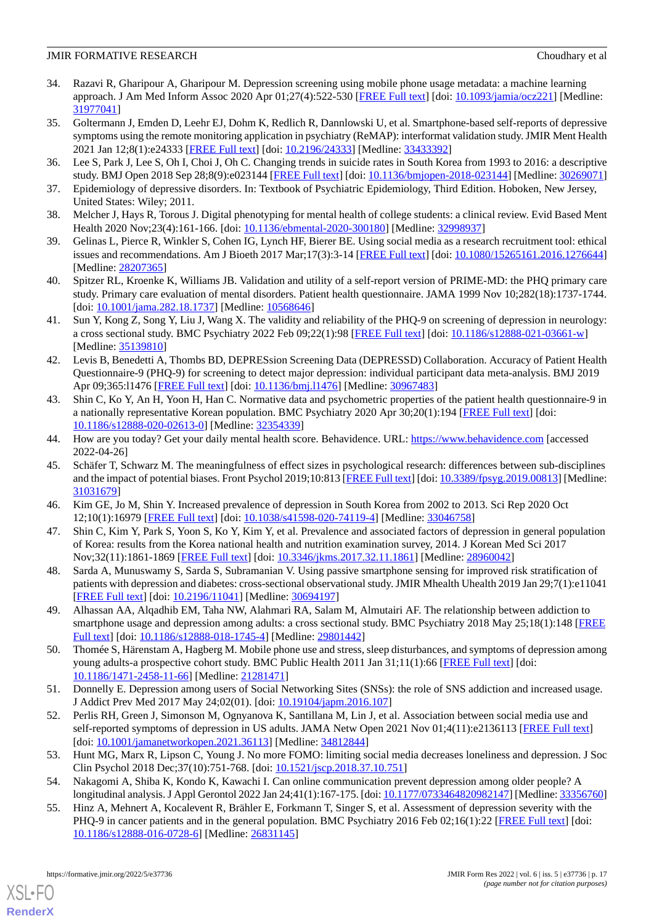- <span id="page-16-0"></span>34. Razavi R, Gharipour A, Gharipour M. Depression screening using mobile phone usage metadata: a machine learning approach. J Am Med Inform Assoc 2020 Apr 01;27(4):522-530 [\[FREE Full text\]](http://europepmc.org/abstract/MED/31977041) [doi: [10.1093/jamia/ocz221\]](http://dx.doi.org/10.1093/jamia/ocz221) [Medline: [31977041](http://www.ncbi.nlm.nih.gov/entrez/query.fcgi?cmd=Retrieve&db=PubMed&list_uids=31977041&dopt=Abstract)]
- <span id="page-16-1"></span>35. Goltermann J, Emden D, Leehr EJ, Dohm K, Redlich R, Dannlowski U, et al. Smartphone-based self-reports of depressive symptoms using the remote monitoring application in psychiatry (ReMAP): interformat validation study. JMIR Ment Health 2021 Jan 12;8(1):e24333 [\[FREE Full text\]](https://mental.jmir.org/2021/1/e24333/) [doi: [10.2196/24333](http://dx.doi.org/10.2196/24333)] [Medline: [33433392](http://www.ncbi.nlm.nih.gov/entrez/query.fcgi?cmd=Retrieve&db=PubMed&list_uids=33433392&dopt=Abstract)]
- <span id="page-16-3"></span><span id="page-16-2"></span>36. Lee S, Park J, Lee S, Oh I, Choi J, Oh C. Changing trends in suicide rates in South Korea from 1993 to 2016: a descriptive study. BMJ Open 2018 Sep 28;8(9):e023144 [\[FREE Full text\]](https://bmjopen.bmj.com/lookup/pmidlookup?view=long&pmid=30269071) [doi: [10.1136/bmjopen-2018-023144](http://dx.doi.org/10.1136/bmjopen-2018-023144)] [Medline: [30269071](http://www.ncbi.nlm.nih.gov/entrez/query.fcgi?cmd=Retrieve&db=PubMed&list_uids=30269071&dopt=Abstract)]
- <span id="page-16-4"></span>37. Epidemiology of depressive disorders. In: Textbook of Psychiatric Epidemiology, Third Edition. Hoboken, New Jersey, United States: Wiley; 2011.
- <span id="page-16-5"></span>38. Melcher J, Hays R, Torous J. Digital phenotyping for mental health of college students: a clinical review. Evid Based Ment Health 2020 Nov;23(4):161-166. [doi: [10.1136/ebmental-2020-300180\]](http://dx.doi.org/10.1136/ebmental-2020-300180) [Medline: [32998937\]](http://www.ncbi.nlm.nih.gov/entrez/query.fcgi?cmd=Retrieve&db=PubMed&list_uids=32998937&dopt=Abstract)
- <span id="page-16-6"></span>39. Gelinas L, Pierce R, Winkler S, Cohen IG, Lynch HF, Bierer BE. Using social media as a research recruitment tool: ethical issues and recommendations. Am J Bioeth 2017 Mar;17(3):3-14 [[FREE Full text](http://europepmc.org/abstract/MED/28207365)] [doi: [10.1080/15265161.2016.1276644](http://dx.doi.org/10.1080/15265161.2016.1276644)] [Medline: [28207365](http://www.ncbi.nlm.nih.gov/entrez/query.fcgi?cmd=Retrieve&db=PubMed&list_uids=28207365&dopt=Abstract)]
- <span id="page-16-7"></span>40. Spitzer RL, Kroenke K, Williams JB. Validation and utility of a self-report version of PRIME-MD: the PHQ primary care study. Primary care evaluation of mental disorders. Patient health questionnaire. JAMA 1999 Nov 10;282(18):1737-1744. [doi: [10.1001/jama.282.18.1737](http://dx.doi.org/10.1001/jama.282.18.1737)] [Medline: [10568646\]](http://www.ncbi.nlm.nih.gov/entrez/query.fcgi?cmd=Retrieve&db=PubMed&list_uids=10568646&dopt=Abstract)
- <span id="page-16-8"></span>41. Sun Y, Kong Z, Song Y, Liu J, Wang X. The validity and reliability of the PHQ-9 on screening of depression in neurology: a cross sectional study. BMC Psychiatry 2022 Feb 09;22(1):98 [\[FREE Full text\]](https://bmcpsychiatry.biomedcentral.com/articles/10.1186/s12888-021-03661-w) [doi: [10.1186/s12888-021-03661-w](http://dx.doi.org/10.1186/s12888-021-03661-w)] [Medline: [35139810](http://www.ncbi.nlm.nih.gov/entrez/query.fcgi?cmd=Retrieve&db=PubMed&list_uids=35139810&dopt=Abstract)]
- <span id="page-16-9"></span>42. Levis B, Benedetti A, Thombs BD, DEPRESsion Screening Data (DEPRESSD) Collaboration. Accuracy of Patient Health Questionnaire-9 (PHQ-9) for screening to detect major depression: individual participant data meta-analysis. BMJ 2019 Apr 09;365:l1476 [[FREE Full text](http://www.bmj.com/lookup/pmidlookup?view=long&pmid=30967483)] [doi: [10.1136/bmj.l1476\]](http://dx.doi.org/10.1136/bmj.l1476) [Medline: [30967483](http://www.ncbi.nlm.nih.gov/entrez/query.fcgi?cmd=Retrieve&db=PubMed&list_uids=30967483&dopt=Abstract)]
- <span id="page-16-11"></span><span id="page-16-10"></span>43. Shin C, Ko Y, An H, Yoon H, Han C. Normative data and psychometric properties of the patient health questionnaire-9 in a nationally representative Korean population. BMC Psychiatry 2020 Apr 30;20(1):194 [[FREE Full text\]](https://bmcpsychiatry.biomedcentral.com/articles/10.1186/s12888-020-02613-0) [doi: [10.1186/s12888-020-02613-0\]](http://dx.doi.org/10.1186/s12888-020-02613-0) [Medline: [32354339\]](http://www.ncbi.nlm.nih.gov/entrez/query.fcgi?cmd=Retrieve&db=PubMed&list_uids=32354339&dopt=Abstract)
- 44. How are you today? Get your daily mental health score. Behavidence. URL:<https://www.behavidence.com> [accessed 2022-04-26]
- <span id="page-16-13"></span><span id="page-16-12"></span>45. Schäfer T, Schwarz M. The meaningfulness of effect sizes in psychological research: differences between sub-disciplines and the impact of potential biases. Front Psychol 2019;10:813 [\[FREE Full text](https://doi.org/10.3389/fpsyg.2019.00813)] [doi: [10.3389/fpsyg.2019.00813](http://dx.doi.org/10.3389/fpsyg.2019.00813)] [Medline: [31031679](http://www.ncbi.nlm.nih.gov/entrez/query.fcgi?cmd=Retrieve&db=PubMed&list_uids=31031679&dopt=Abstract)]
- <span id="page-16-14"></span>46. Kim GE, Jo M, Shin Y. Increased prevalence of depression in South Korea from 2002 to 2013. Sci Rep 2020 Oct 12;10(1):16979 [[FREE Full text\]](https://doi.org/10.1038/s41598-020-74119-4) [doi: [10.1038/s41598-020-74119-4](http://dx.doi.org/10.1038/s41598-020-74119-4)] [Medline: [33046758](http://www.ncbi.nlm.nih.gov/entrez/query.fcgi?cmd=Retrieve&db=PubMed&list_uids=33046758&dopt=Abstract)]
- <span id="page-16-15"></span>47. Shin C, Kim Y, Park S, Yoon S, Ko Y, Kim Y, et al. Prevalence and associated factors of depression in general population of Korea: results from the Korea national health and nutrition examination survey, 2014. J Korean Med Sci 2017 Nov;32(11):1861-1869 [[FREE Full text](https://jkms.org/DOIx.php?id=10.3346/jkms.2017.32.11.1861)] [doi: [10.3346/jkms.2017.32.11.1861](http://dx.doi.org/10.3346/jkms.2017.32.11.1861)] [Medline: [28960042](http://www.ncbi.nlm.nih.gov/entrez/query.fcgi?cmd=Retrieve&db=PubMed&list_uids=28960042&dopt=Abstract)]
- <span id="page-16-16"></span>48. Sarda A, Munuswamy S, Sarda S, Subramanian V. Using passive smartphone sensing for improved risk stratification of patients with depression and diabetes: cross-sectional observational study. JMIR Mhealth Uhealth 2019 Jan 29;7(1):e11041 [[FREE Full text](https://mhealth.jmir.org/2019/1/e11041/)] [doi: [10.2196/11041\]](http://dx.doi.org/10.2196/11041) [Medline: [30694197\]](http://www.ncbi.nlm.nih.gov/entrez/query.fcgi?cmd=Retrieve&db=PubMed&list_uids=30694197&dopt=Abstract)
- <span id="page-16-17"></span>49. Alhassan AA, Alqadhib EM, Taha NW, Alahmari RA, Salam M, Almutairi AF. The relationship between addiction to smartphone usage and depression among adults: a cross sectional study. BMC Psychiatry 2018 May 25;18(1):148 [[FREE](https://bmcpsychiatry.biomedcentral.com/articles/10.1186/s12888-018-1745-4) [Full text\]](https://bmcpsychiatry.biomedcentral.com/articles/10.1186/s12888-018-1745-4) [doi: [10.1186/s12888-018-1745-4](http://dx.doi.org/10.1186/s12888-018-1745-4)] [Medline: [29801442](http://www.ncbi.nlm.nih.gov/entrez/query.fcgi?cmd=Retrieve&db=PubMed&list_uids=29801442&dopt=Abstract)]
- <span id="page-16-18"></span>50. Thomée S, Härenstam A, Hagberg M. Mobile phone use and stress, sleep disturbances, and symptoms of depression among young adults-a prospective cohort study. BMC Public Health 2011 Jan 31;11(1):66 [[FREE Full text](https://bmcpublichealth.biomedcentral.com/articles/10.1186/1471-2458-11-66)] [doi: [10.1186/1471-2458-11-66\]](http://dx.doi.org/10.1186/1471-2458-11-66) [Medline: [21281471\]](http://www.ncbi.nlm.nih.gov/entrez/query.fcgi?cmd=Retrieve&db=PubMed&list_uids=21281471&dopt=Abstract)
- <span id="page-16-19"></span>51. Donnelly E. Depression among users of Social Networking Sites (SNSs): the role of SNS addiction and increased usage. J Addict Prev Med 2017 May 24;02(01). [doi: [10.19104/japm.2016.107\]](http://dx.doi.org/10.19104/japm.2016.107)
- <span id="page-16-21"></span><span id="page-16-20"></span>52. Perlis RH, Green J, Simonson M, Ognyanova K, Santillana M, Lin J, et al. Association between social media use and self-reported symptoms of depression in US adults. JAMA Netw Open 2021 Nov 01;4(11):e2136113 [\[FREE Full text\]](https://jamanetwork.com/journals/jamanetworkopen/fullarticle/10.1001/jamanetworkopen.2021.36113) [doi: [10.1001/jamanetworkopen.2021.36113\]](http://dx.doi.org/10.1001/jamanetworkopen.2021.36113) [Medline: [34812844](http://www.ncbi.nlm.nih.gov/entrez/query.fcgi?cmd=Retrieve&db=PubMed&list_uids=34812844&dopt=Abstract)]
- 53. Hunt MG, Marx R, Lipson C, Young J. No more FOMO: limiting social media decreases loneliness and depression. J Soc Clin Psychol 2018 Dec;37(10):751-768. [doi: [10.1521/jscp.2018.37.10.751](http://dx.doi.org/10.1521/jscp.2018.37.10.751)]
- 54. Nakagomi A, Shiba K, Kondo K, Kawachi I. Can online communication prevent depression among older people? A longitudinal analysis. J Appl Gerontol 2022 Jan 24;41(1):167-175. [doi: [10.1177/0733464820982147\]](http://dx.doi.org/10.1177/0733464820982147) [Medline: [33356760](http://www.ncbi.nlm.nih.gov/entrez/query.fcgi?cmd=Retrieve&db=PubMed&list_uids=33356760&dopt=Abstract)]
- 55. Hinz A, Mehnert A, Kocalevent R, Brähler E, Forkmann T, Singer S, et al. Assessment of depression severity with the PHQ-9 in cancer patients and in the general population. BMC Psychiatry 2016 Feb 02;16(1):22 [[FREE Full text](https://bmcpsychiatry.biomedcentral.com/articles/10.1186/s12888-016-0728-6)] [doi: [10.1186/s12888-016-0728-6\]](http://dx.doi.org/10.1186/s12888-016-0728-6) [Medline: [26831145](http://www.ncbi.nlm.nih.gov/entrez/query.fcgi?cmd=Retrieve&db=PubMed&list_uids=26831145&dopt=Abstract)]